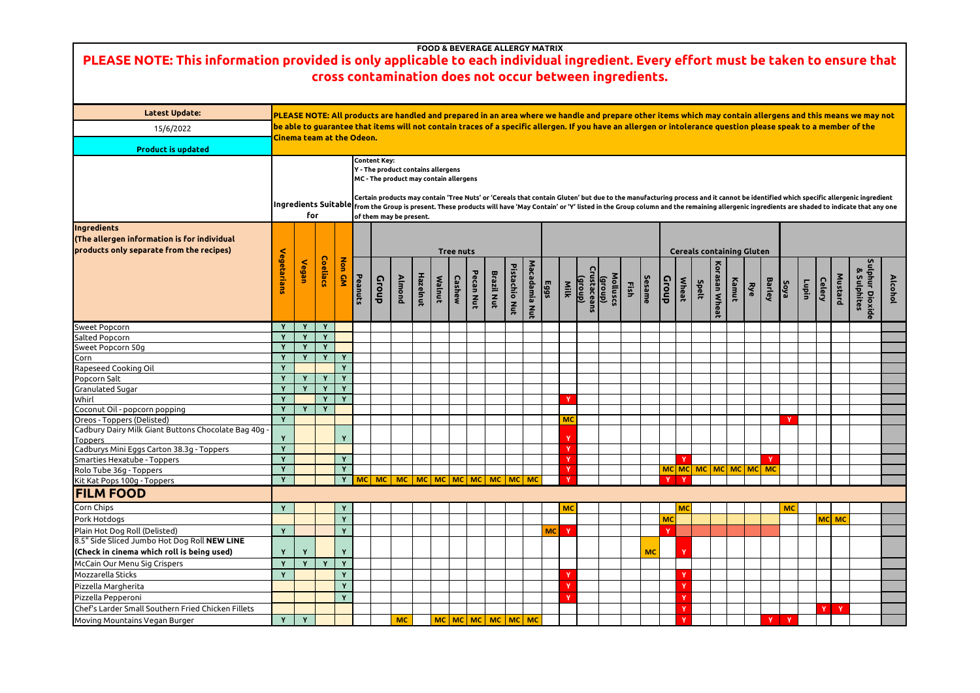|   |              |              | <b>Cereals containing Gluten</b> |               |           |           |               |             |       |           |           |                                |                |
|---|--------------|--------------|----------------------------------|---------------|-----------|-----------|---------------|-------------|-------|-----------|-----------|--------------------------------|----------------|
|   | <b>Croup</b> | <b>Wheat</b> | Spelt                            | Korasan Wheat | Kamut     | Rye       | <b>Barley</b> | <b>Soya</b> | Lupin | Celery    | Mustard   | Sulphur Dioxide<br>& Sulphites | <b>Alcohol</b> |
|   |              |              |                                  |               |           |           |               |             |       |           |           |                                |                |
|   |              |              |                                  |               |           |           |               |             |       |           |           |                                |                |
|   |              |              |                                  |               |           |           |               |             |       |           |           |                                |                |
|   |              |              |                                  |               |           |           |               |             |       |           |           |                                |                |
|   |              |              |                                  |               |           |           |               |             |       |           |           |                                |                |
|   |              |              |                                  |               |           |           |               |             |       |           |           |                                |                |
|   |              |              |                                  |               |           |           |               |             |       |           |           |                                |                |
|   |              |              |                                  |               |           |           |               |             |       |           |           |                                |                |
|   |              |              |                                  |               |           |           |               | Y           |       |           |           |                                |                |
|   |              |              |                                  |               |           |           |               |             |       |           |           |                                |                |
|   |              |              |                                  |               |           |           |               |             |       |           |           |                                |                |
|   |              | Y            |                                  |               |           |           | Y             |             |       |           |           |                                |                |
|   | <b>MC</b>    | <b>MC</b>    | <b>MC</b>                        | <b>MC</b>     | <b>MC</b> | <b>MC</b> | <b>MC</b>     |             |       |           |           |                                |                |
|   | Y            | Y            |                                  |               |           |           |               |             |       |           |           |                                |                |
|   |              |              |                                  |               |           |           |               |             |       |           |           |                                |                |
|   |              | <b>MC</b>    |                                  |               |           |           |               | <b>MC</b>   |       |           |           |                                |                |
|   | <b>MC</b>    |              |                                  |               |           |           |               |             |       | <b>MC</b> | <b>MC</b> |                                |                |
|   | Y            |              |                                  |               |           |           |               |             |       |           |           |                                |                |
| C |              | Y            |                                  |               |           |           |               |             |       |           |           |                                |                |
|   |              |              |                                  |               |           |           |               |             |       |           |           |                                |                |
|   |              | Y            |                                  |               |           |           |               |             |       |           |           |                                |                |
|   |              | Y            |                                  |               |           |           |               |             |       |           |           |                                |                |
|   |              | Y            |                                  |               |           |           |               |             |       |           |           |                                |                |
|   |              | Y            |                                  |               |           |           |               |             |       | Y         | Y         |                                |                |
|   |              | Y            |                                  |               |           |           | Y             | Y           |       |           |           |                                |                |

| <b>Latest Update:</b>                                                              |              |                           |             |              |         |                     |                                           |          |               |                  |           |                             |               |           |      |           |                            | PLEASE NOTE: All products are handled and prepared in an area where we handle and prepare other items which may contain allergens and this means we n                                                                                    |      |           |              |           |                                  |               |       |     |        |              |       |               |         |             |
|------------------------------------------------------------------------------------|--------------|---------------------------|-------------|--------------|---------|---------------------|-------------------------------------------|----------|---------------|------------------|-----------|-----------------------------|---------------|-----------|------|-----------|----------------------------|------------------------------------------------------------------------------------------------------------------------------------------------------------------------------------------------------------------------------------------|------|-----------|--------------|-----------|----------------------------------|---------------|-------|-----|--------|--------------|-------|---------------|---------|-------------|
| 15/6/2022                                                                          |              |                           |             |              |         |                     |                                           |          |               |                  |           |                             |               |           |      |           |                            | be able to guarantee that items will not contain traces of a specific allergen. If you have an allergen or intolerance question please speak to a member of t                                                                            |      |           |              |           |                                  |               |       |     |        |              |       |               |         |             |
|                                                                                    |              | Cinema team at the Odeon. |             |              |         |                     |                                           |          |               |                  |           |                             |               |           |      |           |                            |                                                                                                                                                                                                                                          |      |           |              |           |                                  |               |       |     |        |              |       |               |         |             |
| <b>Product is updated</b>                                                          |              |                           |             |              |         |                     |                                           |          |               |                  |           |                             |               |           |      |           |                            |                                                                                                                                                                                                                                          |      |           |              |           |                                  |               |       |     |        |              |       |               |         |             |
|                                                                                    |              |                           |             |              |         | <b>Content Key:</b> |                                           |          |               |                  |           |                             |               |           |      |           |                            |                                                                                                                                                                                                                                          |      |           |              |           |                                  |               |       |     |        |              |       |               |         |             |
|                                                                                    |              |                           |             |              |         |                     | <b>Y</b> - The product contains allergens |          |               |                  |           |                             |               |           |      |           |                            |                                                                                                                                                                                                                                          |      |           |              |           |                                  |               |       |     |        |              |       |               |         |             |
|                                                                                    |              |                           |             |              |         |                     | MC - The product may contain allergens    |          |               |                  |           |                             |               |           |      |           |                            |                                                                                                                                                                                                                                          |      |           |              |           |                                  |               |       |     |        |              |       |               |         |             |
|                                                                                    |              |                           |             |              |         |                     |                                           |          |               |                  |           |                             |               |           |      |           |                            | Certain products may contain 'Tree Nuts' or 'Cereals that contain Gluten' but due to the manufacturing process and it cannot be identified which specific allergenic in                                                                  |      |           |              |           |                                  |               |       |     |        |              |       |               |         |             |
|                                                                                    |              |                           |             |              |         |                     |                                           |          |               |                  |           |                             |               |           |      |           |                            | Ingredients Suitable <sub>from the Group is present. These products will have 'May Contain' or 'Y' listed in the Group column and the remaining allergenic ingredients are shaded to indicate tha that in the New The Shaded of in</sub> |      |           |              |           |                                  |               |       |     |        |              |       |               |         |             |
|                                                                                    |              | for                       |             |              |         |                     | of them may be present.                   |          |               |                  |           |                             |               |           |      |           |                            |                                                                                                                                                                                                                                          |      |           |              |           |                                  |               |       |     |        |              |       |               |         |             |
| Ingredients                                                                        |              |                           |             |              |         |                     |                                           |          |               |                  |           |                             |               |           |      |           |                            |                                                                                                                                                                                                                                          |      |           |              |           |                                  |               |       |     |        |              |       |               |         |             |
| <b>(The allergen information is for individual</b>                                 |              |                           |             |              |         |                     |                                           |          |               |                  |           |                             |               |           |      |           |                            |                                                                                                                                                                                                                                          |      |           |              |           |                                  |               |       |     |        |              |       |               |         |             |
| products only separate from the recipes)                                           |              |                           |             |              |         |                     |                                           |          |               | <b>Tree nuts</b> |           |                             |               |           |      |           |                            |                                                                                                                                                                                                                                          |      |           |              |           | <b>Cereals containing Gluten</b> |               |       |     |        |              |       |               |         |             |
|                                                                                    | Vegetarians  |                           | Coeliacs    | <b>Non</b>   |         |                     |                                           |          |               |                  |           |                             |               |           |      |           |                            |                                                                                                                                                                                                                                          |      |           |              |           |                                  |               |       |     |        |              |       |               |         |             |
|                                                                                    |              | Vegan                     |             |              |         |                     |                                           |          |               |                  |           |                             | Pistachio Nut | Macadamia |      |           |                            |                                                                                                                                                                                                                                          |      |           |              |           |                                  | Korasan Wheat |       |     |        |              |       |               |         |             |
|                                                                                    |              |                           |             | GM           | Peanuts | Croup               | <b>Almond</b>                             | Hazelnut | <b>Malnut</b> | Cashew           | Pecan Nut | <b>Brazil Nut</b>           |               |           | Eggs | Milk      | $\overline{\text{(drop)}}$ | Molluscs                                                                                                                                                                                                                                 |      | Sesame    | <b>Group</b> | Wheat     | <b>Spelt</b>                     |               | Kamut | Rye | Barley | <b>Soya</b>  | Lupin | <b>Celery</b> | Mustard | & Sulphites |
|                                                                                    |              |                           |             |              |         |                     |                                           |          |               |                  |           |                             |               |           |      |           |                            |                                                                                                                                                                                                                                          | Fish |           |              |           |                                  |               |       |     |        |              |       |               |         |             |
|                                                                                    |              |                           |             |              |         |                     |                                           |          |               |                  |           |                             |               | Nut       |      |           |                            | (group)<br>Irustaceans                                                                                                                                                                                                                   |      |           |              |           |                                  |               |       |     |        |              |       |               |         |             |
|                                                                                    |              |                           |             |              |         |                     |                                           |          |               |                  |           |                             |               |           |      |           |                            |                                                                                                                                                                                                                                          |      |           |              |           |                                  |               |       |     |        |              |       |               |         |             |
| <b>Sweet Popcorn</b>                                                               |              | Y                         | Y           |              |         |                     |                                           |          |               |                  |           |                             |               |           |      |           |                            |                                                                                                                                                                                                                                          |      |           |              |           |                                  |               |       |     |        |              |       |               |         |             |
| Salted Popcorn                                                                     |              | Y                         | Y           |              |         |                     |                                           |          |               |                  |           |                             |               |           |      |           |                            |                                                                                                                                                                                                                                          |      |           |              |           |                                  |               |       |     |        |              |       |               |         |             |
| Sweet Popcorn 50g                                                                  |              | Y                         | Y           |              |         |                     |                                           |          |               |                  |           |                             |               |           |      |           |                            |                                                                                                                                                                                                                                          |      |           |              |           |                                  |               |       |     |        |              |       |               |         |             |
| Corn                                                                               |              | Y                         | $\mathbf v$ | Y            |         |                     |                                           |          |               |                  |           |                             |               |           |      |           |                            |                                                                                                                                                                                                                                          |      |           |              |           |                                  |               |       |     |        |              |       |               |         |             |
| Rapeseed Cooking Oil                                                               |              |                           |             |              |         |                     |                                           |          |               |                  |           |                             |               |           |      |           |                            |                                                                                                                                                                                                                                          |      |           |              |           |                                  |               |       |     |        |              |       |               |         |             |
| Popcorn Salt                                                                       |              | Y                         | Y           | Y            |         |                     |                                           |          |               |                  |           |                             |               |           |      |           |                            |                                                                                                                                                                                                                                          |      |           |              |           |                                  |               |       |     |        |              |       |               |         |             |
| <b>Granulated Sugar</b>                                                            |              | Y                         |             |              |         |                     |                                           |          |               |                  |           |                             |               |           |      |           |                            |                                                                                                                                                                                                                                          |      |           |              |           |                                  |               |       |     |        |              |       |               |         |             |
| Whirl                                                                              |              |                           |             |              |         |                     |                                           |          |               |                  |           |                             |               |           |      |           |                            |                                                                                                                                                                                                                                          |      |           |              |           |                                  |               |       |     |        |              |       |               |         |             |
| Coconut Oil - popcorn popping                                                      |              | Y                         | Y           |              |         |                     |                                           |          |               |                  |           |                             |               |           |      | <b>MC</b> |                            |                                                                                                                                                                                                                                          |      |           |              |           |                                  |               |       |     |        |              |       |               |         |             |
| Oreos - Toppers (Delisted)<br>Cadbury Dairy Milk Giant Buttons Chocolate Bag 40g - |              |                           |             |              |         |                     |                                           |          |               |                  |           |                             |               |           |      |           |                            |                                                                                                                                                                                                                                          |      |           |              |           |                                  |               |       |     |        |              |       |               |         |             |
| <b>Toppers</b>                                                                     |              |                           |             | Y            |         |                     |                                           |          |               |                  |           |                             |               |           |      |           |                            |                                                                                                                                                                                                                                          |      |           |              |           |                                  |               |       |     |        |              |       |               |         |             |
| Cadburys Mini Eggs Carton 38.3g - Toppers                                          | $\mathbf{v}$ |                           |             |              |         |                     |                                           |          |               |                  |           |                             |               |           |      | - V       |                            |                                                                                                                                                                                                                                          |      |           |              |           |                                  |               |       |     |        |              |       |               |         |             |
| Smarties Hexatube - Toppers                                                        |              |                           |             | Y            |         |                     |                                           |          |               |                  |           |                             |               |           |      |           |                            |                                                                                                                                                                                                                                          |      |           |              |           |                                  |               |       |     |        |              |       |               |         |             |
| Rolo Tube 36g - Toppers                                                            |              |                           |             | Y            |         |                     |                                           |          |               |                  |           |                             |               |           |      |           |                            |                                                                                                                                                                                                                                          |      |           |              |           | MC MC MC MC MC MC MC             |               |       |     |        |              |       |               |         |             |
| Kit Kat Pops 100g - Toppers                                                        |              |                           |             |              |         |                     |                                           |          |               |                  |           |                             |               |           |      | N         |                            |                                                                                                                                                                                                                                          |      |           |              | $Y$ $Y$   |                                  |               |       |     |        |              |       |               |         |             |
| <b>FILM FOOD</b>                                                                   |              |                           |             |              |         |                     |                                           |          |               |                  |           |                             |               |           |      |           |                            |                                                                                                                                                                                                                                          |      |           |              |           |                                  |               |       |     |        |              |       |               |         |             |
| Corn Chips                                                                         | Y            |                           |             | Y            |         |                     |                                           |          |               |                  |           |                             |               |           |      | <b>MC</b> |                            |                                                                                                                                                                                                                                          |      |           |              | <b>MC</b> |                                  |               |       |     |        | <b>MC</b>    |       |               |         |             |
| Pork Hotdogs                                                                       |              |                           |             |              |         |                     |                                           |          |               |                  |           |                             |               |           |      |           |                            |                                                                                                                                                                                                                                          |      |           | <b>MC</b>    |           |                                  |               |       |     |        |              |       |               | MC MC   |             |
| Plain Hot Dog Roll (Delisted)                                                      | $\mathbf v$  |                           |             | Y            |         |                     |                                           |          |               |                  |           |                             |               |           | MC   | <b>V</b>  |                            |                                                                                                                                                                                                                                          |      |           |              |           |                                  |               |       |     |        |              |       |               |         |             |
| 8.5" Side Sliced Jumbo Hot Dog Roll NEW LINE                                       |              |                           |             |              |         |                     |                                           |          |               |                  |           |                             |               |           |      |           |                            |                                                                                                                                                                                                                                          |      |           |              |           |                                  |               |       |     |        |              |       |               |         |             |
| (Check in cinema which roll is being used)                                         | $\mathbf v$  | Y                         |             | Y            |         |                     |                                           |          |               |                  |           |                             |               |           |      |           |                            |                                                                                                                                                                                                                                          |      | <b>MC</b> |              |           |                                  |               |       |     |        |              |       |               |         |             |
| McCain Our Menu Sig Crispers                                                       |              | Y                         |             |              |         |                     |                                           |          |               |                  |           |                             |               |           |      |           |                            |                                                                                                                                                                                                                                          |      |           |              |           |                                  |               |       |     |        |              |       |               |         |             |
| Mozzarella Sticks                                                                  |              |                           |             | Y            |         |                     |                                           |          |               |                  |           |                             |               |           |      |           |                            |                                                                                                                                                                                                                                          |      |           |              |           |                                  |               |       |     |        |              |       |               |         |             |
| Pizzella Margherita                                                                |              |                           |             |              |         |                     |                                           |          |               |                  |           |                             |               |           |      |           |                            |                                                                                                                                                                                                                                          |      |           |              |           |                                  |               |       |     |        |              |       |               |         |             |
| Pizzella Pepperoni                                                                 |              |                           |             | $\mathbf{v}$ |         |                     |                                           |          |               |                  |           |                             |               |           |      |           |                            |                                                                                                                                                                                                                                          |      |           |              |           |                                  |               |       |     |        |              |       |               |         |             |
| Chef's Larder Small Southern Fried Chicken Fillets                                 |              |                           |             |              |         |                     |                                           |          |               |                  |           |                             |               |           |      |           |                            |                                                                                                                                                                                                                                          |      |           |              |           |                                  |               |       |     |        |              |       |               | $Y$ $Y$ |             |
|                                                                                    | Y            |                           |             |              |         |                     |                                           |          |               |                  |           |                             |               |           |      |           |                            |                                                                                                                                                                                                                                          |      |           |              |           |                                  |               |       |     |        | $\mathbf{Y}$ |       |               |         |             |
| Moving Mountains Vegan Burger                                                      |              | Y                         |             |              |         |                     | <b>MC</b>                                 |          |               |                  |           | MC   MC   MC   MC   MC   MC |               |           |      |           |                            |                                                                                                                                                                                                                                          |      |           |              |           |                                  |               |       |     | Y      |              |       |               |         |             |

 $\overline{\textbf{P}}$  reform items which may contain allergens and this means we may not  $\overline{\textbf{P}}$ <mark>gen or intolerance question please speak to a member of the</mark>

Facturing process and it cannot be identified which specific allergenic ingredient lumn and the remaining allergenic ingredients are shaded to indicate that any one  $\overline{\phantom{a}}$ 

## **FOOD & BEVERAGE ALLERGY MATRIX PLEASE NOTE: This information provided is only applicable to each individual ingredient. Every effort must be taken to ensure that cross contamination does not occur between ingredients.**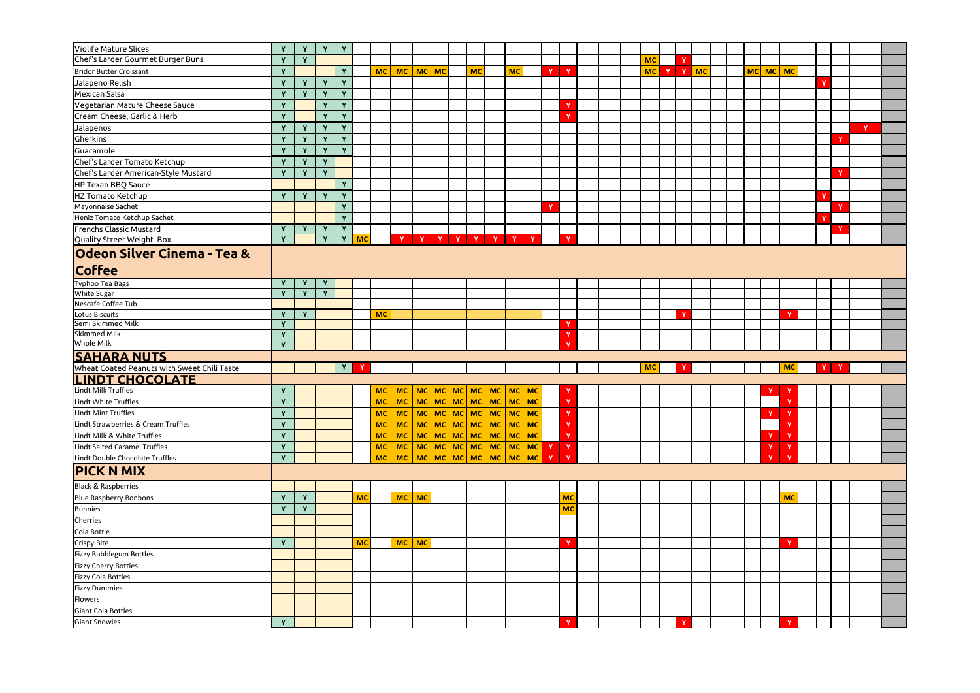| Violife Mature Slices                             |              | Y           | Y            | Y            |              |           |           |           |  |           |                                       |           |                              |              |  |           |   |              |    |  |    |       |                |    |  |             |              |  |
|---------------------------------------------------|--------------|-------------|--------------|--------------|--------------|-----------|-----------|-----------|--|-----------|---------------------------------------|-----------|------------------------------|--------------|--|-----------|---|--------------|----|--|----|-------|----------------|----|--|-------------|--------------|--|
| Chef's Larder Gourmet Burger Buns                 | Y            |             |              |              |              |           |           |           |  |           |                                       |           |                              |              |  |           |   | $\mathbf v$  |    |  |    |       |                |    |  |             |              |  |
|                                                   | Y            | Y           |              |              |              |           |           |           |  |           |                                       |           |                              |              |  | <b>MC</b> |   |              |    |  |    |       |                |    |  |             |              |  |
| <b>Bridor Butter Croissant</b>                    | Y            |             |              | Y            |              | <b>MC</b> | <b>MC</b> | $MC$ MC   |  | <b>MC</b> |                                       | <b>MC</b> | $\mathbf v$                  | $\mathbf{Y}$ |  | <b>MC</b> | Y | $\mathbf{Y}$ | MC |  | MC |       | $\sqrt{MC}$ MC |    |  |             |              |  |
| Jalapeno Relish                                   | Y            | Y           | Y            | Y            |              |           |           |           |  |           |                                       |           |                              |              |  |           |   |              |    |  |    |       |                |    |  |             |              |  |
| Mexican Salsa                                     | Y            | Y           | Y            | Y            |              |           |           |           |  |           |                                       |           |                              |              |  |           |   |              |    |  |    |       |                |    |  |             |              |  |
| Vegetarian Mature Cheese Sauce                    | Y            |             | Y            | Y            |              |           |           |           |  |           |                                       |           |                              | $\mathbf{v}$ |  |           |   |              |    |  |    |       |                |    |  |             |              |  |
| Cream Cheese, Garlic & Herb                       | Y            |             | Y            | Y            |              |           |           |           |  |           |                                       |           |                              | Y            |  |           |   |              |    |  |    |       |                |    |  |             |              |  |
| Jalapenos                                         | Y            | Y           | Y            | Y            |              |           |           |           |  |           |                                       |           |                              |              |  |           |   |              |    |  |    |       |                |    |  |             | $\mathbf{Y}$ |  |
| Gherkins                                          | Y            | $\mathbf v$ | Y            | Y            |              |           |           |           |  |           |                                       |           |                              |              |  |           |   |              |    |  |    |       |                |    |  | <b>N</b>    |              |  |
| Guacamole                                         | Y            | Y           | Y            | Y            |              |           |           |           |  |           |                                       |           |                              |              |  |           |   |              |    |  |    |       |                |    |  |             |              |  |
| Chef's Larder Tomato Ketchup                      | Y            | Y           | Y            |              |              |           |           |           |  |           |                                       |           |                              |              |  |           |   |              |    |  |    |       |                |    |  |             |              |  |
| Chef's Larder American-Style Mustard              | Y            | Y           | Y            |              |              |           |           |           |  |           |                                       |           |                              |              |  |           |   |              |    |  |    |       |                |    |  | $\mathbf v$ |              |  |
| HP Texan BBQ Sauce                                |              |             |              | $\mathbf{v}$ |              |           |           |           |  |           |                                       |           |                              |              |  |           |   |              |    |  |    |       |                |    |  |             |              |  |
| HZ Tomato Ketchup                                 | Y            | Y           | Y            | Y            |              |           |           |           |  |           |                                       |           |                              |              |  |           |   |              |    |  |    |       |                |    |  |             |              |  |
| Mayonnaise Sachet                                 |              |             |              | Y            |              |           |           |           |  |           |                                       |           |                              |              |  |           |   |              |    |  |    |       |                |    |  |             |              |  |
| Heniz Tomato Ketchup Sachet                       |              |             |              | Y            |              |           |           |           |  |           |                                       |           |                              |              |  |           |   |              |    |  |    |       |                |    |  |             |              |  |
| Frenchs Classic Mustard                           | Y            | Y           | Y            | Y            |              |           |           |           |  |           |                                       |           |                              |              |  |           |   |              |    |  |    |       |                |    |  | <b>v</b>    |              |  |
| Quality Street Weight Box                         | Y            |             | Y            |              | Y MC         |           |           |           |  |           | Y Y Y Y Y Y Y Y                       |           |                              | $\mathbf{Y}$ |  |           |   |              |    |  |    |       |                |    |  |             |              |  |
|                                                   |              |             |              |              |              |           |           |           |  |           |                                       |           |                              |              |  |           |   |              |    |  |    |       |                |    |  |             |              |  |
| Odeon Silver Cinema - Tea &                       |              |             |              |              |              |           |           |           |  |           |                                       |           |                              |              |  |           |   |              |    |  |    |       |                |    |  |             |              |  |
| <b>Coffee</b>                                     |              |             |              |              |              |           |           |           |  |           |                                       |           |                              |              |  |           |   |              |    |  |    |       |                |    |  |             |              |  |
| Typhoo Tea Bags                                   | Y            | Y           | Y            |              |              |           |           |           |  |           |                                       |           |                              |              |  |           |   |              |    |  |    |       |                |    |  |             |              |  |
| <b>White Sugar</b>                                | $\mathbf{Y}$ | Y           | $\mathbf{Y}$ |              |              |           |           |           |  |           |                                       |           |                              |              |  |           |   |              |    |  |    |       |                |    |  |             |              |  |
| Nescafe Coffee Tub                                |              |             |              |              |              |           |           |           |  |           |                                       |           |                              |              |  |           |   |              |    |  |    |       |                |    |  |             |              |  |
| <b>Lotus Biscuits</b>                             | -Y           | Y           |              |              |              | <b>MC</b> |           |           |  |           |                                       |           |                              |              |  |           |   | <b>M</b>     |    |  |    |       | $\mathbf v$    |    |  |             |              |  |
| Semi Skimmed Milk                                 | Y            |             |              |              |              |           |           |           |  |           |                                       |           |                              | Y            |  |           |   |              |    |  |    |       |                |    |  |             |              |  |
| <b>Skimmed Milk</b>                               | Y            |             |              |              |              |           |           |           |  |           |                                       |           |                              | Y            |  |           |   |              |    |  |    |       |                |    |  |             |              |  |
|                                                   |              |             |              |              |              |           |           |           |  |           |                                       |           |                              |              |  |           |   |              |    |  |    |       |                |    |  |             |              |  |
| <b>Whole Milk</b>                                 | Y            |             |              |              |              |           |           |           |  |           |                                       |           |                              | <b>v</b>     |  |           |   |              |    |  |    |       |                |    |  |             |              |  |
|                                                   |              |             |              |              |              |           |           |           |  |           |                                       |           |                              |              |  |           |   |              |    |  |    |       |                |    |  |             |              |  |
| <b>SAHARA NUTS</b>                                |              |             |              | Y            | $\mathbf{Y}$ |           |           |           |  |           |                                       |           |                              |              |  | <b>MC</b> |   | $\mathbf{Y}$ |    |  |    |       |                | MC |  | $Y$ $Y$     |              |  |
| Wheat Coated Peanuts with Sweet Chili Taste       |              |             |              |              |              |           |           |           |  |           |                                       |           |                              |              |  |           |   |              |    |  |    |       |                |    |  |             |              |  |
| <b>LINDT CHOCOLATE</b>                            | Y            |             |              |              |              |           |           |           |  |           |                                       |           |                              |              |  |           |   |              |    |  |    | Y     |                |    |  |             |              |  |
| Lindt Milk Truffles                               |              |             |              |              |              | <b>MC</b> |           |           |  |           | MC   MC   MC   MC   MC   MC   MC   MC |           |                              |              |  |           |   |              |    |  |    |       |                |    |  |             |              |  |
| Lindt White Truffles                              | Y            |             |              |              |              | <b>MC</b> |           |           |  |           | MC   MC   MC   MC   MC   MC   MC   MC |           |                              | Y            |  |           |   |              |    |  |    |       |                |    |  |             |              |  |
| <b>Lindt Mint Truffles</b>                        | Y            |             |              |              |              | <b>MC</b> | <b>MC</b> |           |  |           | MC MC MC MC MC MC MC MC               |           |                              | Y            |  |           |   |              |    |  |    | Y     | $\mathbf{Y}$   |    |  |             |              |  |
| Lindt Strawberries & Cream Truffles               | Y            |             |              |              |              | <b>MC</b> | <b>MC</b> |           |  |           | мс   мс   мс   мс   мс   мс   мс      |           |                              | $\mathbf Y$  |  |           |   |              |    |  |    |       | Ÿ              |    |  |             |              |  |
| Lindt Milk & White Truffles                       | Y            |             |              |              |              | <b>MC</b> |           |           |  |           | MC   MC   MC   MC   MC   MC   MC   MC |           |                              | Y            |  |           |   |              |    |  |    | Y     | $\mathbf Y$    |    |  |             |              |  |
| Lindt Salted Caramel Truffles                     | Y            |             |              |              |              | <b>MC</b> |           |           |  |           |                                       |           | $\mathbf{Y}$                 | Y            |  |           |   |              |    |  |    | $Y -$ | $\mathbf{Y}$   |    |  |             |              |  |
| Lindt Double Chocolate Truffles                   | Y            |             |              |              |              | <b>MC</b> |           |           |  |           |                                       |           | $\mathbf{Y}$<br>$\mathbf{Y}$ |              |  |           |   |              |    |  |    | Y     | $\mathbf{Y}$   |    |  |             |              |  |
| <b>PICK N MIX</b>                                 |              |             |              |              |              |           |           |           |  |           |                                       |           |                              |              |  |           |   |              |    |  |    |       |                |    |  |             |              |  |
| <b>Black &amp; Raspberries</b>                    |              |             |              |              |              |           |           |           |  |           |                                       |           |                              |              |  |           |   |              |    |  |    |       |                |    |  |             |              |  |
| <b>Blue Raspberry Bonbons</b>                     | Y            | Y           |              |              | <b>MC</b>    |           | <b>MC</b> | <b>MC</b> |  |           |                                       |           |                              | <b>MC</b>    |  |           |   |              |    |  |    |       | <b>MC</b>      |    |  |             |              |  |
| <b>Bunnies</b>                                    | Y            | Y           |              |              |              |           |           |           |  |           |                                       |           |                              | <b>MC</b>    |  |           |   |              |    |  |    |       |                |    |  |             |              |  |
| Cherries                                          |              |             |              |              |              |           |           |           |  |           |                                       |           |                              |              |  |           |   |              |    |  |    |       |                |    |  |             |              |  |
|                                                   |              |             |              |              |              |           |           |           |  |           |                                       |           |                              |              |  |           |   |              |    |  |    |       |                |    |  |             |              |  |
| Cola Bottle                                       | Y            |             |              |              | <b>MC</b>    |           |           |           |  |           |                                       |           |                              | Y            |  |           |   |              |    |  |    |       | $\mathbf v$    |    |  |             |              |  |
| <b>Crispy Bite</b>                                |              |             |              |              |              |           | <b>MC</b> | <b>MC</b> |  |           |                                       |           |                              |              |  |           |   |              |    |  |    |       |                |    |  |             |              |  |
| Fizzy Bubblegum Bottles                           |              |             |              |              |              |           |           |           |  |           |                                       |           |                              |              |  |           |   |              |    |  |    |       |                |    |  |             |              |  |
| <b>Fizzy Cherry Bottles</b>                       |              |             |              |              |              |           |           |           |  |           |                                       |           |                              |              |  |           |   |              |    |  |    |       |                |    |  |             |              |  |
| <b>Fizzy Cola Bottles</b>                         |              |             |              |              |              |           |           |           |  |           |                                       |           |                              |              |  |           |   |              |    |  |    |       |                |    |  |             |              |  |
| <b>Fizzy Dummies</b>                              |              |             |              |              |              |           |           |           |  |           |                                       |           |                              |              |  |           |   |              |    |  |    |       |                |    |  |             |              |  |
| Flowers                                           |              |             |              |              |              |           |           |           |  |           |                                       |           |                              |              |  |           |   |              |    |  |    |       |                |    |  |             |              |  |
| <b>Giant Cola Bottles</b><br><b>Giant Snowies</b> | Y            |             |              |              |              |           |           |           |  |           |                                       |           |                              |              |  |           |   |              |    |  |    |       |                |    |  |             |              |  |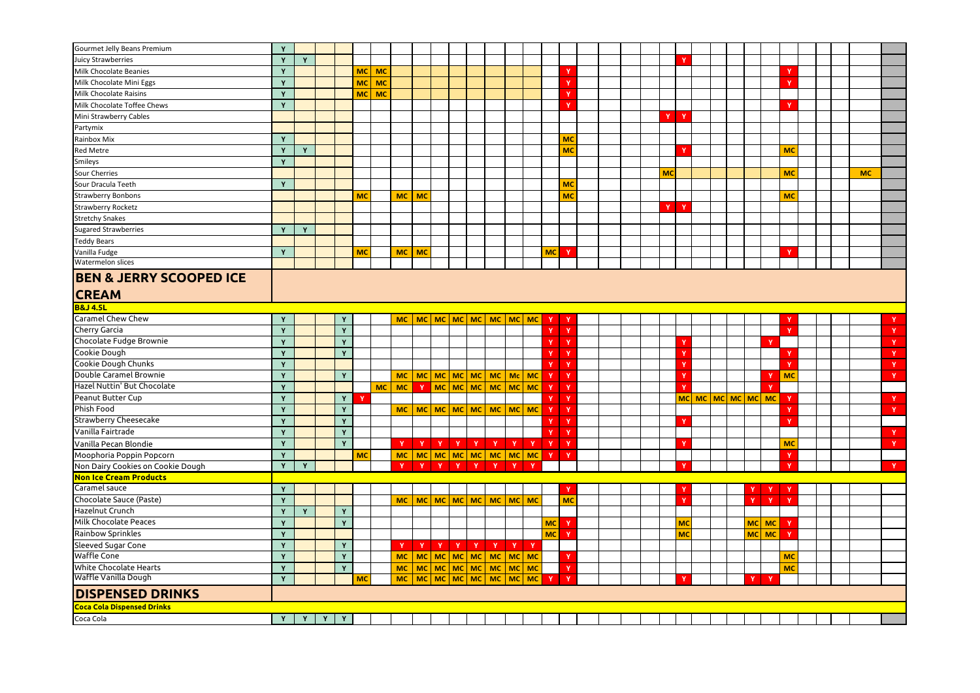| Gourmet Jelly Beans Premium        | $\mathbf{v}$ |   |                   |    |           |           |           |                                                      |  |                                    |  |                           |              |  |           |                                    |  |  |              |              |  |           |              |
|------------------------------------|--------------|---|-------------------|----|-----------|-----------|-----------|------------------------------------------------------|--|------------------------------------|--|---------------------------|--------------|--|-----------|------------------------------------|--|--|--------------|--------------|--|-----------|--------------|
| Juicy Strawberries                 | $\mathbf{v}$ | Y |                   |    |           |           |           |                                                      |  |                                    |  |                           |              |  |           |                                    |  |  |              |              |  |           |              |
| Milk Chocolate Beanies             | $\mathbf{v}$ |   |                   |    | <b>MC</b> | <b>MC</b> |           |                                                      |  |                                    |  |                           |              |  |           |                                    |  |  |              |              |  |           |              |
| Milk Chocolate Mini Eggs           | $\mathbf{v}$ |   |                   |    | <b>MC</b> | <b>MC</b> |           |                                                      |  |                                    |  |                           | $\mathbf{v}$ |  |           |                                    |  |  |              |              |  |           |              |
| Milk Chocolate Raisins             |              |   |                   |    | <b>MC</b> | <b>MC</b> |           |                                                      |  |                                    |  |                           |              |  |           |                                    |  |  |              |              |  |           |              |
| Milk Chocolate Toffee Chews        | Y            |   |                   |    |           |           |           |                                                      |  |                                    |  |                           |              |  |           |                                    |  |  |              |              |  |           |              |
| Mini Strawberry Cables             |              |   |                   |    |           |           |           |                                                      |  |                                    |  |                           |              |  | $Y$ $Y$   |                                    |  |  |              |              |  |           |              |
| Partymix                           |              |   |                   |    |           |           |           |                                                      |  |                                    |  |                           |              |  |           |                                    |  |  |              |              |  |           |              |
| Rainbox Mix                        | $\mathbf v$  |   |                   |    |           |           |           |                                                      |  |                                    |  |                           | <b>MC</b>    |  |           |                                    |  |  |              |              |  |           |              |
| <b>Red Metre</b>                   |              | Y |                   |    |           |           |           |                                                      |  |                                    |  |                           | <b>MC</b>    |  |           |                                    |  |  |              | <b>MC</b>    |  |           |              |
| Smileys                            | Y            |   |                   |    |           |           |           |                                                      |  |                                    |  |                           |              |  |           |                                    |  |  |              |              |  |           |              |
| Sour Cherries                      |              |   |                   |    |           |           |           |                                                      |  |                                    |  |                           |              |  | <b>MC</b> |                                    |  |  |              | <b>MC</b>    |  | <b>MC</b> |              |
| Sour Dracula Teeth                 |              |   |                   |    |           |           |           |                                                      |  |                                    |  |                           | <b>MC</b>    |  |           |                                    |  |  |              |              |  |           |              |
| <b>Strawberry Bonbons</b>          |              |   |                   |    | <b>MC</b> |           | <b>MC</b> | MC                                                   |  |                                    |  |                           | <b>MC</b>    |  |           |                                    |  |  |              | <b>MC</b>    |  |           |              |
| <b>Strawberry Rocketz</b>          |              |   |                   |    |           |           |           |                                                      |  |                                    |  |                           |              |  | Y         | $\mathbf{Y}$                       |  |  |              |              |  |           |              |
| <b>Stretchy Snakes</b>             |              |   |                   |    |           |           |           |                                                      |  |                                    |  |                           |              |  |           |                                    |  |  |              |              |  |           |              |
| <b>Sugared Strawberries</b>        | $\mathbf v$  | Y |                   |    |           |           |           |                                                      |  |                                    |  |                           |              |  |           |                                    |  |  |              |              |  |           |              |
| <b>Teddy Bears</b>                 |              |   |                   |    |           |           |           |                                                      |  |                                    |  |                           |              |  |           |                                    |  |  |              |              |  |           |              |
| Vanilla Fudge                      | Y            |   |                   |    | <b>MC</b> |           | <b>MC</b> | <b>MC</b>                                            |  |                                    |  | <b>MC</b>                 | Y            |  |           |                                    |  |  |              |              |  |           |              |
| Watermelon slices                  |              |   |                   |    |           |           |           |                                                      |  |                                    |  |                           |              |  |           |                                    |  |  |              |              |  |           |              |
| <b>BEN &amp; JERRY SCOOPED ICE</b> |              |   |                   |    |           |           |           |                                                      |  |                                    |  |                           |              |  |           |                                    |  |  |              |              |  |           |              |
|                                    |              |   |                   |    |           |           |           |                                                      |  |                                    |  |                           |              |  |           |                                    |  |  |              |              |  |           |              |
| <b>CREAM</b>                       |              |   |                   |    |           |           |           |                                                      |  |                                    |  |                           |              |  |           |                                    |  |  |              |              |  |           |              |
| <b>B&amp;J 4.5L</b>                |              |   |                   |    |           |           |           |                                                      |  |                                    |  |                           |              |  |           |                                    |  |  |              |              |  |           |              |
| <b>Caramel Chew Chew</b>           | Y            |   |                   | Y  |           |           | <b>MC</b> |                                                      |  |                                    |  | <b>Y</b>                  | $\mathbf{Y}$ |  |           |                                    |  |  |              |              |  |           |              |
| <b>Cherry Garcia</b>               | $\mathbf{v}$ |   |                   | Y  |           |           |           |                                                      |  |                                    |  |                           | $\mathbf{Y}$ |  |           |                                    |  |  |              |              |  |           |              |
| Chocolate Fudge Brownie            | $\mathbf{v}$ |   |                   | Y  |           |           |           |                                                      |  |                                    |  |                           | Y            |  |           |                                    |  |  | $\mathbf{v}$ |              |  |           |              |
| Cookie Dough                       |              |   |                   | Y  |           |           |           |                                                      |  |                                    |  |                           | Y            |  |           |                                    |  |  |              |              |  |           | <b>V</b>     |
| Cookie Dough Chunks                | Y            |   |                   |    |           |           |           |                                                      |  |                                    |  | $\mathbf{v}$ $\mathbf{r}$ | $\mathbf{Y}$ |  |           |                                    |  |  |              | $\mathbf{v}$ |  |           | <b>T</b>     |
| Double Caramel Brownie             | Y            |   |                   | Y  |           |           |           | MC   MC   MC   MC   MC   MC   Mc   MC                |  |                                    |  | $\mathbf{Y}$              | $\mathbf{Y}$ |  |           |                                    |  |  |              | MC           |  |           | Y            |
| Hazel Nuttin' But Chocolate        | Y            |   |                   |    |           | <b>MC</b> | <b>MC</b> |                                                      |  |                                    |  |                           | $\mathbf Y$  |  |           |                                    |  |  |              |              |  |           |              |
| Peanut Butter Cup                  | $\mathbf{v}$ |   |                   | Y. | Y         |           |           |                                                      |  |                                    |  | Y                         | $\mathbf Y$  |  |           | <u>мс  мс   мс   мс   мс   мс </u> |  |  |              | Y            |  |           | Y            |
| Phish Food                         | $\mathbf v$  |   |                   | Y  |           |           |           |                                                      |  |                                    |  | $\mathbf{Y}$              | $\mathbf{Y}$ |  |           |                                    |  |  |              |              |  |           | $\mathbf{Y}$ |
| <b>Strawberry Cheesecake</b>       | $\mathbf{v}$ |   |                   | Y  |           |           |           |                                                      |  |                                    |  | $\mathbf{v}$              | $\mathbf{Y}$ |  |           |                                    |  |  |              |              |  |           |              |
| Vanilla Fairtrade                  | Y            |   |                   | Y  |           |           |           |                                                      |  |                                    |  |                           | $\mathbf{Y}$ |  |           |                                    |  |  |              |              |  |           | Y            |
| Vanilla Pecan Blondie              | Y            |   |                   | Y  |           |           | $Y -$     |                                                      |  |                                    |  | Y Y Y Y Y Y Y Y Y         | $\mathbf{Y}$ |  |           |                                    |  |  |              | <b>MC</b>    |  |           | $\mathbf{Y}$ |
| Moophoria Poppin Popcorn           | $\mathbf{v}$ |   |                   |    | <b>MC</b> |           |           |                                                      |  |                                    |  | Y                         | $\mathbf{Y}$ |  |           |                                    |  |  |              |              |  |           |              |
| Non Dairy Cookies on Cookie Dough  | Y            | Y |                   |    |           |           | $Y -$     |                                                      |  | Y Y Y Y Y Y Y Y                    |  |                           |              |  |           |                                    |  |  |              |              |  |           | $\mathbf{Y}$ |
| Non Ice Cream Products             |              |   |                   |    |           |           |           |                                                      |  |                                    |  |                           |              |  |           |                                    |  |  |              |              |  |           |              |
| Caramel sauce                      | Y            |   |                   |    |           |           |           |                                                      |  |                                    |  |                           | Y            |  |           |                                    |  |  | $\mathbf{Y}$ | Y            |  |           |              |
| Chocolate Sauce (Paste)            | $\mathbf{v}$ |   |                   |    |           |           | <b>MC</b> |                                                      |  | │ мс   мс   мс   мс   мс   мс   мс |  |                           | <b>MC</b>    |  |           |                                    |  |  | $\mathbf{Y}$ | $\mathbf{v}$ |  |           |              |
| Hazelnut Crunch                    |              | Y |                   | Y  |           |           |           |                                                      |  |                                    |  |                           |              |  |           |                                    |  |  |              |              |  |           |              |
| Milk Chocolate Peaces              | Y            |   |                   | Y  |           |           |           |                                                      |  |                                    |  | <b>MC</b>                 | $\mathbf{Y}$ |  |           | MC                                 |  |  | $MC$ MC      |              |  |           |              |
| Rainbow Sprinkles                  | $\mathbf{v}$ |   |                   |    |           |           |           |                                                      |  |                                    |  | <b>MC</b>                 | $\mathbf{Y}$ |  |           | МC                                 |  |  | $MC$ MC      | <b>V</b>     |  |           |              |
| Sleeved Sugar Cone                 | Y            |   |                   | Y  |           |           |           | $Y \mid Y \mid Y \mid Y \mid Y \mid Y \mid Y \mid Y$ |  |                                    |  |                           |              |  |           |                                    |  |  |              |              |  |           |              |
| Waffle Cone                        | Y            |   |                   | Y  |           |           |           | MC   MC   MC   MC   MC   MC   MC   MC                |  |                                    |  |                           | $\mathbf{Y}$ |  |           |                                    |  |  |              | <b>MC</b>    |  |           |              |
| White Chocolate Hearts             | Y            |   |                   | Y  |           |           |           | MC   MC   MC   MC   MC   MC   MC   MC                |  |                                    |  |                           | $\mathbf Y$  |  |           |                                    |  |  |              | <b>MC</b>    |  |           |              |
| Waffle Vanilla Dough               | Y            |   |                   |    | <b>MC</b> |           |           | $MC   MC   MC   MC   MC   MC   MC   MC   MC$         |  |                                    |  | $\mathbf{Y}$              | $\mathbf{Y}$ |  |           |                                    |  |  |              |              |  |           |              |
| <b>DISPENSED DRINKS</b>            |              |   |                   |    |           |           |           |                                                      |  |                                    |  |                           |              |  |           |                                    |  |  |              |              |  |           |              |
| <b>Coca Cola Dispensed Drinks</b>  |              |   |                   |    |           |           |           |                                                      |  |                                    |  |                           |              |  |           |                                    |  |  |              |              |  |           |              |
| Coca Cola                          | Y            |   | Y<br>$\mathbf{Y}$ | Y  |           |           |           |                                                      |  |                                    |  |                           |              |  |           |                                    |  |  |              |              |  |           |              |
|                                    |              |   |                   |    |           |           |           |                                                      |  |                                    |  |                           |              |  |           |                                    |  |  |              |              |  |           |              |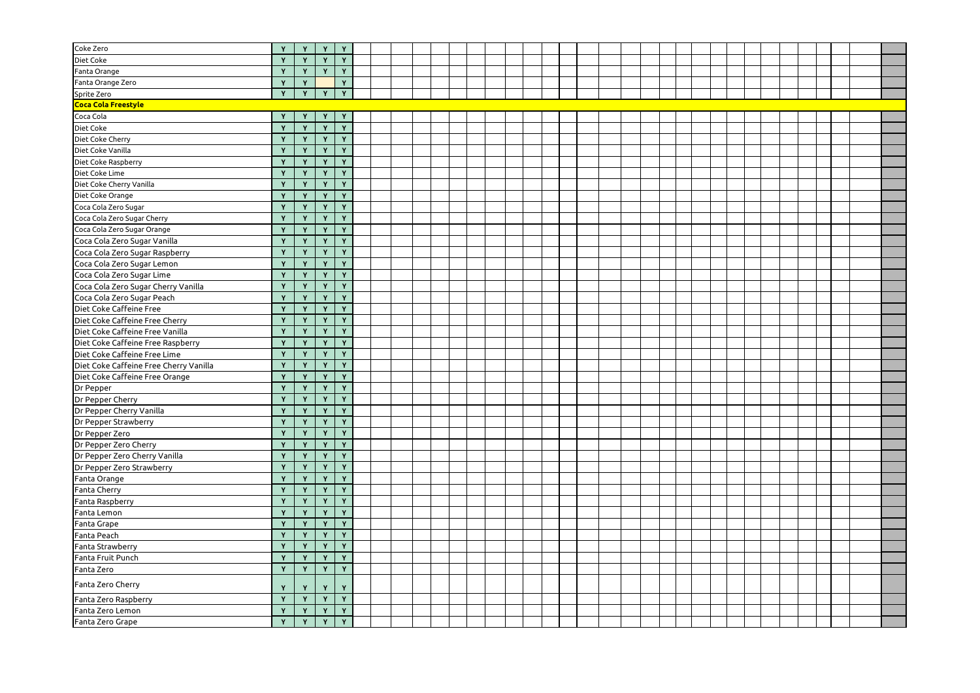| Coke Zero                              | Y              | Y            | Y            | Y            |  |  |  |  |  |  |  |  |  |  |  |  |  |
|----------------------------------------|----------------|--------------|--------------|--------------|--|--|--|--|--|--|--|--|--|--|--|--|--|
| Diet Coke                              | Y              | Y            | Y            | Y            |  |  |  |  |  |  |  |  |  |  |  |  |  |
| Fanta Orange                           | Y              | $\mathbf{v}$ | Y            | Y            |  |  |  |  |  |  |  |  |  |  |  |  |  |
| Fanta Orange Zero                      | Y              | $\mathbf{Y}$ |              | Y            |  |  |  |  |  |  |  |  |  |  |  |  |  |
| Sprite Zero                            | Y              | Y            | Y            | Y            |  |  |  |  |  |  |  |  |  |  |  |  |  |
| Coca Cola Freestyle                    |                |              |              |              |  |  |  |  |  |  |  |  |  |  |  |  |  |
| Coca Cola                              | Y              | Y            | Y            | Y            |  |  |  |  |  |  |  |  |  |  |  |  |  |
| Diet Coke                              | Y              | $\mathbf v$  | $\mathbf{Y}$ | $\mathbf{v}$ |  |  |  |  |  |  |  |  |  |  |  |  |  |
| Diet Coke Cherry                       | Y              | $\mathbf{Y}$ | Y            | Y            |  |  |  |  |  |  |  |  |  |  |  |  |  |
| Diet Coke Vanilla                      | Y              | Y            | $\mathbf{Y}$ | Y            |  |  |  |  |  |  |  |  |  |  |  |  |  |
| Diet Coke Raspberry                    | Y              | $\mathbf{v}$ | $\mathbf{Y}$ | Y            |  |  |  |  |  |  |  |  |  |  |  |  |  |
| Diet Coke Lime                         | Y              | $\mathbf{Y}$ | Y            | Y            |  |  |  |  |  |  |  |  |  |  |  |  |  |
| Diet Coke Cherry Vanilla               |                | $\mathbf v$  | Y            | $\mathbf{v}$ |  |  |  |  |  |  |  |  |  |  |  |  |  |
| Diet Coke Orange                       | Y              | Y            | Y            | Y            |  |  |  |  |  |  |  |  |  |  |  |  |  |
| Coca Cola Zero Sugar                   | Y              | $\mathbf{Y}$ | Y            | Y            |  |  |  |  |  |  |  |  |  |  |  |  |  |
| Coca Cola Zero Sugar Cherry            | $\overline{Y}$ | $\mathbf{Y}$ | Y            | Y            |  |  |  |  |  |  |  |  |  |  |  |  |  |
| Coca Cola Zero Sugar Orange            | Y              | $\mathbf{v}$ | Y            | Y            |  |  |  |  |  |  |  |  |  |  |  |  |  |
| Coca Cola Zero Sugar Vanilla           | Y              | $\mathbf{Y}$ | Y            | Y            |  |  |  |  |  |  |  |  |  |  |  |  |  |
| Coca Cola Zero Sugar Raspberry         | Y              | Y            | Y            | Y            |  |  |  |  |  |  |  |  |  |  |  |  |  |
| Coca Cola Zero Sugar Lemon             | Y              | Y            | Y            | Y            |  |  |  |  |  |  |  |  |  |  |  |  |  |
| Coca Cola Zero Sugar Lime              | Y              | $\mathbf v$  | Y            | Y            |  |  |  |  |  |  |  |  |  |  |  |  |  |
| Coca Cola Zero Sugar Cherry Vanilla    | Y              | $\mathbf{Y}$ | Y            | Y            |  |  |  |  |  |  |  |  |  |  |  |  |  |
| Coca Cola Zero Sugar Peach             | Y              | Y            | Y            | Y            |  |  |  |  |  |  |  |  |  |  |  |  |  |
| Diet Coke Caffeine Free                | Y              | $\mathbf{Y}$ | Y            | Y            |  |  |  |  |  |  |  |  |  |  |  |  |  |
| Diet Coke Caffeine Free Cherry         | Y              | Y            | Y            | Y            |  |  |  |  |  |  |  |  |  |  |  |  |  |
| Diet Coke Caffeine Free Vanilla        | $\mathbf{Y}$   | $\mathbf v$  | Y            | Y            |  |  |  |  |  |  |  |  |  |  |  |  |  |
| Diet Coke Caffeine Free Raspberry      | Y              | Y            | Y            | Y            |  |  |  |  |  |  |  |  |  |  |  |  |  |
| Diet Coke Caffeine Free Lime           | Y              | Y            | Y            | Y            |  |  |  |  |  |  |  |  |  |  |  |  |  |
| Diet Coke Caffeine Free Cherry Vanilla | $\mathbf Y$    | $\sqrt{V}$   | $\sqrt{y}$   | $\sqrt{Y}$   |  |  |  |  |  |  |  |  |  |  |  |  |  |
| Diet Coke Caffeine Free Orange         | Y              | $\mathbf{Y}$ | Y            | Y            |  |  |  |  |  |  |  |  |  |  |  |  |  |
| Dr Pepper                              | Y              | $\mathbf{v}$ | Y            | Y            |  |  |  |  |  |  |  |  |  |  |  |  |  |
| Dr Pepper Cherry                       | Y              | Y            | Y            | Y            |  |  |  |  |  |  |  |  |  |  |  |  |  |
| Dr Pepper Cherry Vanilla               | Y              | Y            | Y            | Y            |  |  |  |  |  |  |  |  |  |  |  |  |  |
| Dr Pepper Strawberry                   | Y              | $\mathbf{v}$ | Y            | Y            |  |  |  |  |  |  |  |  |  |  |  |  |  |
| Dr Pepper Zero                         | Y              | $\mathbf{Y}$ | Y            | Y            |  |  |  |  |  |  |  |  |  |  |  |  |  |
| Dr Pepper Zero Cherry                  | Y              | Y            | Y            | Y            |  |  |  |  |  |  |  |  |  |  |  |  |  |
| Dr Pepper Zero Cherry Vanilla          | Y              | $\mathbf{Y}$ | Y            | Y            |  |  |  |  |  |  |  |  |  |  |  |  |  |
| Dr Pepper Zero Strawberry              | Y              | Y            | Y            | Y            |  |  |  |  |  |  |  |  |  |  |  |  |  |
| Fanta Orange                           | Y              | $\mathbf v$  | Y            | $\mathbf{v}$ |  |  |  |  |  |  |  |  |  |  |  |  |  |
| <b>Fanta Cherry</b>                    | Y              | $\mathbf{Y}$ | $\mathbf{Y}$ | Y            |  |  |  |  |  |  |  |  |  |  |  |  |  |
| Fanta Raspberry                        | Y              | $\mathbf{Y}$ | $\mathbf{Y}$ | Y            |  |  |  |  |  |  |  |  |  |  |  |  |  |
| Fanta Lemon                            | Y              | $\mathbf{Y}$ | $\mathbf{Y}$ | Y            |  |  |  |  |  |  |  |  |  |  |  |  |  |
| Fanta Grape                            | Y              | $\mathbf{Y}$ | Y            | Y            |  |  |  |  |  |  |  |  |  |  |  |  |  |
|                                        |                | $\mathbf{v}$ | Y            | $\mathbf{v}$ |  |  |  |  |  |  |  |  |  |  |  |  |  |
| Fanta Peach                            | Y<br>Y         | Y            | Y            | Y            |  |  |  |  |  |  |  |  |  |  |  |  |  |
| Fanta Strawberry                       |                |              |              |              |  |  |  |  |  |  |  |  |  |  |  |  |  |
| Fanta Fruit Punch                      | Y              | Y            | Y            | Y<br>Y       |  |  |  |  |  |  |  |  |  |  |  |  |  |
| Fanta Zero                             | Y              | $\mathbf{Y}$ | Y            |              |  |  |  |  |  |  |  |  |  |  |  |  |  |
| Fanta Zero Cherry                      | Υ              | Y            | Y            | Y            |  |  |  |  |  |  |  |  |  |  |  |  |  |
| Fanta Zero Raspberry                   | Y              | $\mathbf{Y}$ | Y            | Y            |  |  |  |  |  |  |  |  |  |  |  |  |  |
| Fanta Zero Lemon                       | Y              | Y            | Y            | Y            |  |  |  |  |  |  |  |  |  |  |  |  |  |
| Fanta Zero Grape                       | Y              | Y            | Y            | Y            |  |  |  |  |  |  |  |  |  |  |  |  |  |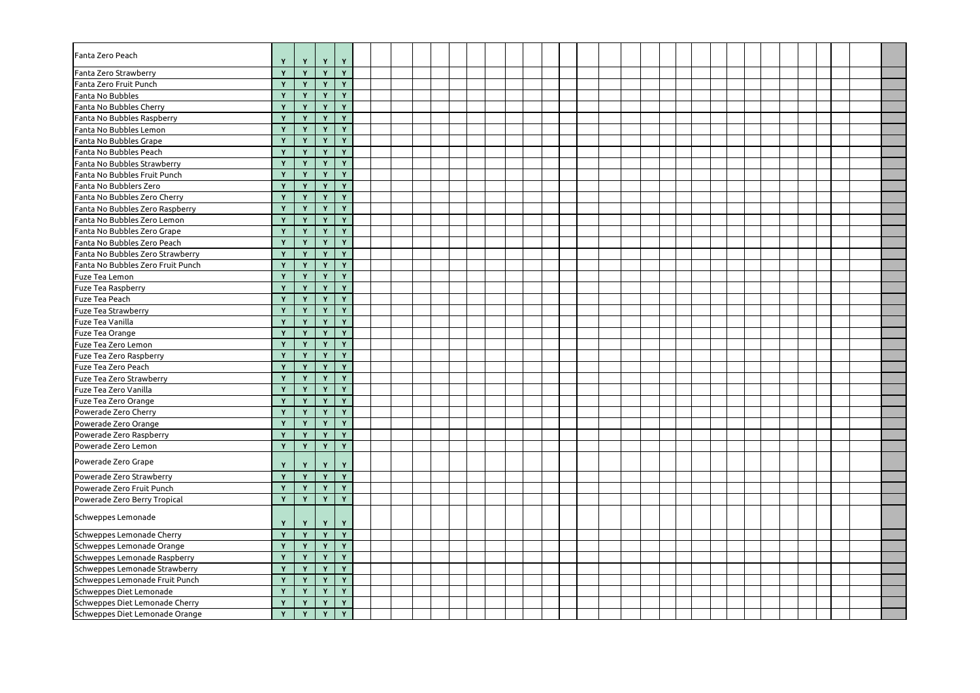| Fanta Zero Peach                  | Y            | $Y -$        | Y              | Y               |  |  |  |  |  |  |  |  |  |  |  |  |  |
|-----------------------------------|--------------|--------------|----------------|-----------------|--|--|--|--|--|--|--|--|--|--|--|--|--|
| Fanta Zero Strawberry             | Y            | Y            | Y              | Y               |  |  |  |  |  |  |  |  |  |  |  |  |  |
| Fanta Zero Fruit Punch            | Y            | Y            | Y              | Y               |  |  |  |  |  |  |  |  |  |  |  |  |  |
| <b>Fanta No Bubbles</b>           | Y            | Y            | $\mathbf{v}$   | Y               |  |  |  |  |  |  |  |  |  |  |  |  |  |
| Fanta No Bubbles Cherry           | $\mathbf{Y}$ | $\mathbf{Y}$ | $\mathbf{v}$   | Y               |  |  |  |  |  |  |  |  |  |  |  |  |  |
| Fanta No Bubbles Raspberry        | Y            | Y            | Y              | Y               |  |  |  |  |  |  |  |  |  |  |  |  |  |
| Fanta No Bubbles Lemon            |              | Y            | $\mathbf v$    | $\mathbf{Y}$    |  |  |  |  |  |  |  |  |  |  |  |  |  |
| Fanta No Bubbles Grape            | Y            | Y            | Y              | Y               |  |  |  |  |  |  |  |  |  |  |  |  |  |
| Fanta No Bubbles Peach            | $\mathbf{Y}$ | Y            | Y              | Y               |  |  |  |  |  |  |  |  |  |  |  |  |  |
| Fanta No Bubbles Strawberry       | Y            | $\mathbf{Y}$ | Y              | Y               |  |  |  |  |  |  |  |  |  |  |  |  |  |
| Fanta No Bubbles Fruit Punch      | Y            | Y            | $\mathbf{v}$   | Y               |  |  |  |  |  |  |  |  |  |  |  |  |  |
| Fanta No Bubblers Zero            | Y            | Y            | $\mathbf{v}$   | Y               |  |  |  |  |  |  |  |  |  |  |  |  |  |
| Fanta No Bubbles Zero Cherry      | Y            | Y            | Y              | Y               |  |  |  |  |  |  |  |  |  |  |  |  |  |
| Fanta No Bubbles Zero Raspberry   | Y            | Y            | Y              | Y               |  |  |  |  |  |  |  |  |  |  |  |  |  |
| Fanta No Bubbles Zero Lemon       |              | Y            | $\mathbf{v}$   | Y               |  |  |  |  |  |  |  |  |  |  |  |  |  |
| Fanta No Bubbles Zero Grape       | Y            | Y            | $\mathbf{v}$   | Y               |  |  |  |  |  |  |  |  |  |  |  |  |  |
| Fanta No Bubbles Zero Peach       | Y            | Y            | $\mathbf v$    | Y               |  |  |  |  |  |  |  |  |  |  |  |  |  |
| Fanta No Bubbles Zero Strawberry  | $\mathbf{Y}$ | Y            | $\mathbf{v}$   | Y               |  |  |  |  |  |  |  |  |  |  |  |  |  |
| Fanta No Bubbles Zero Fruit Punch | Y            | Y            | Y              | Y               |  |  |  |  |  |  |  |  |  |  |  |  |  |
| Fuze Tea Lemon                    |              | Y            | $\mathbf v$    | Y               |  |  |  |  |  |  |  |  |  |  |  |  |  |
| <b>Fuze Tea Raspberry</b>         | Y            | Y            | Y              | Y               |  |  |  |  |  |  |  |  |  |  |  |  |  |
| Fuze Tea Peach                    | Y            | Y            | Y              | Y               |  |  |  |  |  |  |  |  |  |  |  |  |  |
| <b>Fuze Tea Strawberry</b>        | $\mathbf{Y}$ | Y            | Y              | Y               |  |  |  |  |  |  |  |  |  |  |  |  |  |
| <b>Fuze Tea Vanilla</b>           | Y            | Y            | $\mathbf v$    | Y               |  |  |  |  |  |  |  |  |  |  |  |  |  |
| Fuze Tea Orange                   |              | Y            | $\mathbf v$    | Y               |  |  |  |  |  |  |  |  |  |  |  |  |  |
| Fuze Tea Zero Lemon               | Y            | Y            | $\mathbf{v}$   | Y               |  |  |  |  |  |  |  |  |  |  |  |  |  |
| Fuze Tea Zero Raspberry           | Y            | Y            | Y              | Y               |  |  |  |  |  |  |  |  |  |  |  |  |  |
| Fuze Tea Zero Peach               |              | $\mathbf{v}$ | $\overline{Y}$ | $\lambda$<br>Y. |  |  |  |  |  |  |  |  |  |  |  |  |  |
| <b>Fuze Tea Zero Strawberry</b>   | Y            | Y            | $\mathbf{v}$   | Y               |  |  |  |  |  |  |  |  |  |  |  |  |  |
| <b>Fuze Tea Zero Vanilla</b>      | Y            | Y            | Y              | Y               |  |  |  |  |  |  |  |  |  |  |  |  |  |
| Fuze Tea Zero Orange              | Y            | Y            | Y              | Y               |  |  |  |  |  |  |  |  |  |  |  |  |  |
| Powerade Zero Cherry              | Y            | Y            | Y              | $\mathbf{Y}$    |  |  |  |  |  |  |  |  |  |  |  |  |  |
| Powerade Zero Orange              | Y            | Y            | Y              | Y               |  |  |  |  |  |  |  |  |  |  |  |  |  |
| Powerade Zero Raspberry           | Y            | Y            | Y              | Y               |  |  |  |  |  |  |  |  |  |  |  |  |  |
| Powerade Zero Lemon               | Y            | Y            | Y              | Y               |  |  |  |  |  |  |  |  |  |  |  |  |  |
| Powerade Zero Grape               | Y            | Y            | Y              | Y               |  |  |  |  |  |  |  |  |  |  |  |  |  |
| Powerade Zero Strawberry          | Y            | Y            | Y              | Y               |  |  |  |  |  |  |  |  |  |  |  |  |  |
| Powerade Zero Fruit Punch         | Y            | Y            | $\mathbf{Y}$   | Y               |  |  |  |  |  |  |  |  |  |  |  |  |  |
| Powerade Zero Berry Tropical      | Y            | Y            | $\mathbf{Y}$   | Y               |  |  |  |  |  |  |  |  |  |  |  |  |  |
| Schweppes Lemonade                | Y            | Y            | Y              | Y               |  |  |  |  |  |  |  |  |  |  |  |  |  |
| Schweppes Lemonade Cherry         | Y            | Y            | $\mathbf{v}$   | Y               |  |  |  |  |  |  |  |  |  |  |  |  |  |
| Schweppes Lemonade Orange         | Y            | Y            | Y              | Y               |  |  |  |  |  |  |  |  |  |  |  |  |  |
| Schweppes Lemonade Raspberry      | Y            | Y            | $\mathbf{v}$   | Y               |  |  |  |  |  |  |  |  |  |  |  |  |  |
| Schweppes Lemonade Strawberry     | Y            | Y            | $\mathbf v$    | Y               |  |  |  |  |  |  |  |  |  |  |  |  |  |
| Schweppes Lemonade Fruit Punch    | Y            | Y            | Y              | Y               |  |  |  |  |  |  |  |  |  |  |  |  |  |
| Schweppes Diet Lemonade           | Y            | Y            | Y              | Y               |  |  |  |  |  |  |  |  |  |  |  |  |  |
| Schweppes Diet Lemonade Cherry    | Y            | Y            | Y              | Y               |  |  |  |  |  |  |  |  |  |  |  |  |  |
| Schweppes Diet Lemonade Orange    | Y            | Y            | Y              | $\mathbf{v}$    |  |  |  |  |  |  |  |  |  |  |  |  |  |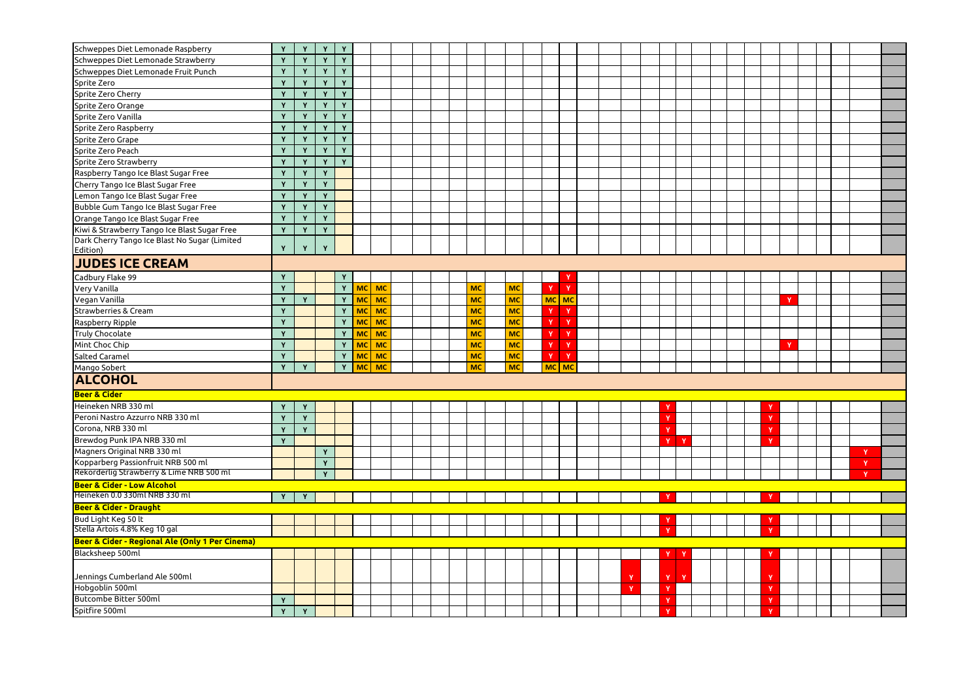| Schweppes Diet Lemonade Raspberry                         | Y            | $\mathbf{Y}$ | Y | Y            |           |           |  |  |           |           |   |              |  |  |              |              |  |  |   |  |              |  |
|-----------------------------------------------------------|--------------|--------------|---|--------------|-----------|-----------|--|--|-----------|-----------|---|--------------|--|--|--------------|--------------|--|--|---|--|--------------|--|
| Schweppes Diet Lemonade Strawberry                        | Y            | Y            | Y | Y            |           |           |  |  |           |           |   |              |  |  |              |              |  |  |   |  |              |  |
| Schweppes Diet Lemonade Fruit Punch                       | Y            | $\mathbf{v}$ | Y | Y            |           |           |  |  |           |           |   |              |  |  |              |              |  |  |   |  |              |  |
| Sprite Zero                                               | $\mathbf{Y}$ | Y            | Y | Y            |           |           |  |  |           |           |   |              |  |  |              |              |  |  |   |  |              |  |
| Sprite Zero Cherry                                        | Y            | $\mathbf v$  | Y | Y            |           |           |  |  |           |           |   |              |  |  |              |              |  |  |   |  |              |  |
| Sprite Zero Orange                                        | Y            | $\mathbf v$  | Y | Y            |           |           |  |  |           |           |   |              |  |  |              |              |  |  |   |  |              |  |
| Sprite Zero Vanilla                                       | Y            | Y            | Y | Y            |           |           |  |  |           |           |   |              |  |  |              |              |  |  |   |  |              |  |
| Sprite Zero Raspberry                                     | Y            | Y            | Y | $\mathbf{v}$ |           |           |  |  |           |           |   |              |  |  |              |              |  |  |   |  |              |  |
| Sprite Zero Grape                                         | $\mathbf{Y}$ | Y            | Y | Y            |           |           |  |  |           |           |   |              |  |  |              |              |  |  |   |  |              |  |
| Sprite Zero Peach                                         | Y            | Y            | Y | Y            |           |           |  |  |           |           |   |              |  |  |              |              |  |  |   |  |              |  |
| Sprite Zero Strawberry                                    | Y            | Y            | Y | Y            |           |           |  |  |           |           |   |              |  |  |              |              |  |  |   |  |              |  |
| Raspberry Tango Ice Blast Sugar Free                      | Y            | Y            | Y |              |           |           |  |  |           |           |   |              |  |  |              |              |  |  |   |  |              |  |
| Cherry Tango Ice Blast Sugar Free                         | $\mathbf{Y}$ | $\mathbf{v}$ | Y |              |           |           |  |  |           |           |   |              |  |  |              |              |  |  |   |  |              |  |
| Lemon Tango Ice Blast Sugar Free                          | $\mathbf v$  | $\mathbf{v}$ | Y |              |           |           |  |  |           |           |   |              |  |  |              |              |  |  |   |  |              |  |
| Bubble Gum Tango Ice Blast Sugar Free                     |              | $\mathbf v$  | Y |              |           |           |  |  |           |           |   |              |  |  |              |              |  |  |   |  |              |  |
| Orange Tango Ice Blast Sugar Free                         | Y            | $\mathbf{v}$ | Y |              |           |           |  |  |           |           |   |              |  |  |              |              |  |  |   |  |              |  |
| Kiwi & Strawberry Tango Ice Blast Sugar Free              | Y            | Y            | Y |              |           |           |  |  |           |           |   |              |  |  |              |              |  |  |   |  |              |  |
| Dark Cherry Tango Ice Blast No Sugar (Limited<br>Edition) | Y            | Y            | Y |              |           |           |  |  |           |           |   |              |  |  |              |              |  |  |   |  |              |  |
| <b>JUDES ICE CREAM</b>                                    |              |              |   |              |           |           |  |  |           |           |   |              |  |  |              |              |  |  |   |  |              |  |
| Cadbury Flake 99                                          | Y            |              |   | Y            |           |           |  |  |           |           |   | Y            |  |  |              |              |  |  |   |  |              |  |
| Very Vanilla                                              | Y            |              |   | Y            |           | $MC$ MC   |  |  | МC        | <b>MC</b> | Y | $\mathbf{Y}$ |  |  |              |              |  |  |   |  |              |  |
| Vegan Vanilla                                             | $\mathbf v$  | Y            |   | Y            |           | $MC$ MC   |  |  | MC        | <b>MC</b> |   | $MC$ MC      |  |  |              |              |  |  | ٧ |  |              |  |
| Strawberries & Cream                                      | Y            |              |   | Y            |           | $MC$ MC   |  |  | <b>MC</b> | <b>MC</b> | Y | $\mathbf{Y}$ |  |  |              |              |  |  |   |  |              |  |
| Raspberry Ripple                                          | Y            |              |   | Y            | <b>MC</b> | $\mid$ MC |  |  | <b>MC</b> | <b>MC</b> | Y | $\mathbf{Y}$ |  |  |              |              |  |  |   |  |              |  |
| Truly Chocolate                                           | Y            |              |   | Y            |           | MC MC     |  |  | MC        | <b>MC</b> | Y | $\mathbf{Y}$ |  |  |              |              |  |  |   |  |              |  |
| Mint Choc Chip                                            | Y            |              |   | Y            | <b>MC</b> | <b>MC</b> |  |  | <b>MC</b> | <b>MC</b> | Y | $\mathbf{Y}$ |  |  |              |              |  |  | v |  |              |  |
| Salted Caramel                                            | Y            |              |   | Y            | <b>MC</b> | <b>MC</b> |  |  | MC        | <b>MC</b> | Y | $\mathbf{Y}$ |  |  |              |              |  |  |   |  |              |  |
| Mango Sobert                                              |              | Y            |   |              |           | Y MC MC   |  |  | <b>MC</b> | MC        |   | MC MC        |  |  |              |              |  |  |   |  |              |  |
| <b>ALCOHOL</b>                                            |              |              |   |              |           |           |  |  |           |           |   |              |  |  |              |              |  |  |   |  |              |  |
| <b>Beer &amp; Cider</b>                                   |              |              |   |              |           |           |  |  |           |           |   |              |  |  |              |              |  |  |   |  |              |  |
| Heineken NRB 330 ml                                       | Y            | Y            |   |              |           |           |  |  |           |           |   |              |  |  |              |              |  |  |   |  |              |  |
| Peroni Nastro Azzurro NRB 330 ml                          | Y            | Y            |   |              |           |           |  |  |           |           |   |              |  |  | $\mathbf v$  |              |  |  |   |  |              |  |
| Corona, NRB 330 ml                                        | Y            | Y            |   |              |           |           |  |  |           |           |   |              |  |  | Y            |              |  |  |   |  |              |  |
| Brewdog Punk IPA NRB 330 ml                               | Y            |              |   |              |           |           |  |  |           |           |   |              |  |  | v            | $\mathbf{Y}$ |  |  |   |  |              |  |
| Magners Original NRB 330 ml                               |              |              | Y |              |           |           |  |  |           |           |   |              |  |  |              |              |  |  |   |  |              |  |
| Kopparberg Passionfruit NRB 500 ml                        |              |              | Y |              |           |           |  |  |           |           |   |              |  |  |              |              |  |  |   |  | Y            |  |
| Rekorderlig Strawberry & Lime NRB 500 ml                  |              |              | Y |              |           |           |  |  |           |           |   |              |  |  |              |              |  |  |   |  | $\mathbf{v}$ |  |
| <b>Beer &amp; Cider - Low Alcohol</b>                     |              |              |   |              |           |           |  |  |           |           |   |              |  |  |              |              |  |  |   |  |              |  |
| Heineken 0.0 330ml NRB 330 ml                             | Y            | Y            |   |              |           |           |  |  |           |           |   |              |  |  |              |              |  |  |   |  |              |  |
| <b>Beer &amp; Cider - Draught</b>                         |              |              |   |              |           |           |  |  |           |           |   |              |  |  |              |              |  |  |   |  |              |  |
| Bud Light Keg 50 lt                                       |              |              |   |              |           |           |  |  |           |           |   |              |  |  |              |              |  |  |   |  |              |  |
| Stella Artois 4.8% Keg 10 gal                             |              |              |   |              |           |           |  |  |           |           |   |              |  |  | v            |              |  |  |   |  |              |  |
| Beer & Cider - Regional Ale (Only 1 Per Cinema)           |              |              |   |              |           |           |  |  |           |           |   |              |  |  |              |              |  |  |   |  |              |  |
| Blacksheep 500ml                                          |              |              |   |              |           |           |  |  |           |           |   |              |  |  |              | - Y          |  |  |   |  |              |  |
|                                                           |              |              |   |              |           |           |  |  |           |           |   |              |  |  |              |              |  |  |   |  |              |  |
| Jennings Cumberland Ale 500ml                             |              |              |   |              |           |           |  |  |           |           |   |              |  |  | Y            | $\mathbf{Y}$ |  |  |   |  |              |  |
| Hobgoblin 500ml                                           |              |              |   |              |           |           |  |  |           |           |   |              |  |  |              |              |  |  |   |  |              |  |
| <b>Butcombe Bitter 500ml</b>                              | Y            |              |   |              |           |           |  |  |           |           |   |              |  |  | $\mathbf{v}$ |              |  |  |   |  |              |  |
| Spitfire 500ml                                            | $\mathbf{Y}$ | $\mathbf v$  |   |              |           |           |  |  |           |           |   |              |  |  |              |              |  |  |   |  |              |  |
|                                                           |              |              |   |              |           |           |  |  |           |           |   |              |  |  |              |              |  |  |   |  |              |  |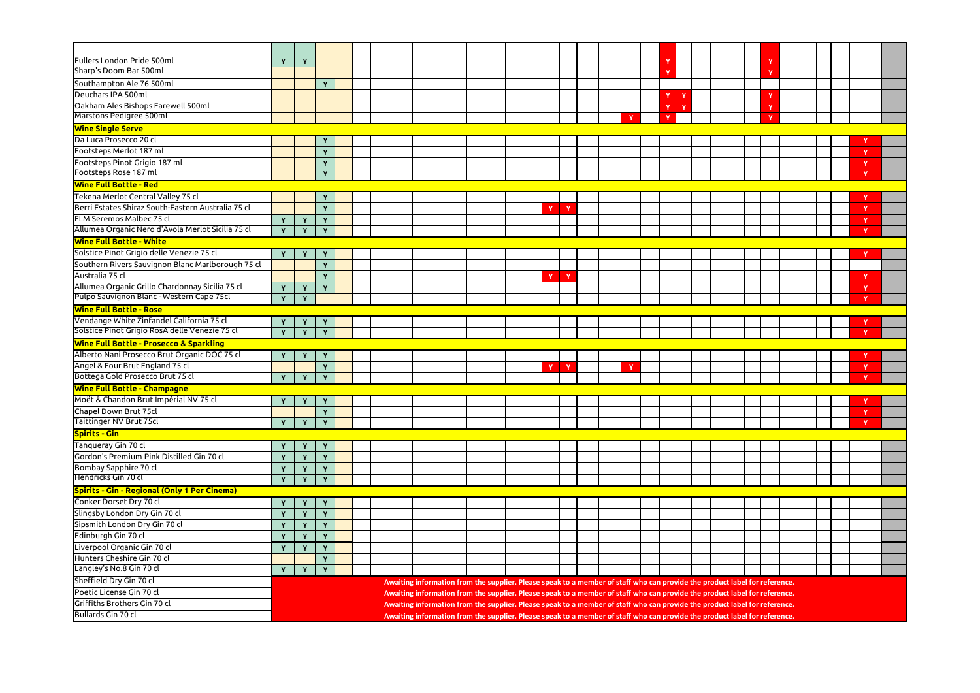| <b>Fullers London Pride 500ml</b>                                             | Y            | $\mathbf v$  |              |  |  |  |  |  |   |              |  |  |              |              |                                                                                                                            |  |  |  |              |  |
|-------------------------------------------------------------------------------|--------------|--------------|--------------|--|--|--|--|--|---|--------------|--|--|--------------|--------------|----------------------------------------------------------------------------------------------------------------------------|--|--|--|--------------|--|
| Sharp's Doom Bar 500ml                                                        |              |              |              |  |  |  |  |  |   |              |  |  |              |              |                                                                                                                            |  |  |  |              |  |
| Southampton Ale 76 500ml                                                      |              |              | Y            |  |  |  |  |  |   |              |  |  |              |              |                                                                                                                            |  |  |  |              |  |
| Deuchars IPA 500ml                                                            |              |              |              |  |  |  |  |  |   |              |  |  | Y            | $\mathbf{v}$ |                                                                                                                            |  |  |  |              |  |
| Oakham Ales Bishops Farewell 500ml                                            |              |              |              |  |  |  |  |  |   |              |  |  | $\checkmark$ |              |                                                                                                                            |  |  |  |              |  |
| Marstons Pedigree 500ml                                                       |              |              |              |  |  |  |  |  |   |              |  |  |              |              |                                                                                                                            |  |  |  |              |  |
| <b>Wine Single Serve</b>                                                      |              |              |              |  |  |  |  |  |   |              |  |  |              |              |                                                                                                                            |  |  |  |              |  |
| Da Luca Prosecco 20 cl                                                        |              |              |              |  |  |  |  |  |   |              |  |  |              |              |                                                                                                                            |  |  |  |              |  |
| Footsteps Merlot 187 ml                                                       |              |              | Y            |  |  |  |  |  |   |              |  |  |              |              |                                                                                                                            |  |  |  |              |  |
| Footsteps Pinot Grigio 187 ml                                                 |              |              | $\mathbf{v}$ |  |  |  |  |  |   |              |  |  |              |              |                                                                                                                            |  |  |  | v            |  |
| Footsteps Rose 187 ml                                                         |              |              | Y            |  |  |  |  |  |   |              |  |  |              |              |                                                                                                                            |  |  |  | v            |  |
| <b>Wine Full Bottle - Red</b>                                                 |              |              |              |  |  |  |  |  |   |              |  |  |              |              |                                                                                                                            |  |  |  |              |  |
| Tekena Merlot Central Valley 75 cl                                            |              |              |              |  |  |  |  |  |   |              |  |  |              |              |                                                                                                                            |  |  |  |              |  |
| Berri Estates Shiraz South-Eastern Australia 75 cl                            |              |              | Υ            |  |  |  |  |  |   |              |  |  |              |              |                                                                                                                            |  |  |  |              |  |
|                                                                               |              |              | Y            |  |  |  |  |  | Y | $\mathbf{v}$ |  |  |              |              |                                                                                                                            |  |  |  | $\mathbf v$  |  |
| FLM Seremos Malbec 75 cl<br>Allumea Organic Nero d'Avola Merlot Sicilia 75 cl |              | Y            |              |  |  |  |  |  |   |              |  |  |              |              |                                                                                                                            |  |  |  |              |  |
|                                                                               | $\mathbf{Y}$ | Y            | $\mathbf{v}$ |  |  |  |  |  |   |              |  |  |              |              |                                                                                                                            |  |  |  | <b>V</b>     |  |
| <b>Wine Full Bottle - White</b>                                               |              |              |              |  |  |  |  |  |   |              |  |  |              |              |                                                                                                                            |  |  |  |              |  |
| Solstice Pinot Grigio delle Venezie 75 cl                                     | Y            | Y            |              |  |  |  |  |  |   |              |  |  |              |              |                                                                                                                            |  |  |  |              |  |
| Southern Rivers Sauvignon Blanc Marlborough 75 cl                             |              |              | Y            |  |  |  |  |  |   |              |  |  |              |              |                                                                                                                            |  |  |  |              |  |
| Australia 75 cl                                                               |              |              |              |  |  |  |  |  | Y |              |  |  |              |              |                                                                                                                            |  |  |  |              |  |
| Allumea Organic Grillo Chardonnay Sicilia 75 cl                               | Y            | Y            |              |  |  |  |  |  |   |              |  |  |              |              |                                                                                                                            |  |  |  |              |  |
| Pulpo Sauvignon Blanc - Western Cape 75cl                                     | Y            | Y            |              |  |  |  |  |  |   |              |  |  |              |              |                                                                                                                            |  |  |  | v            |  |
| <b>Wine Full Bottle - Rose</b>                                                |              |              |              |  |  |  |  |  |   |              |  |  |              |              |                                                                                                                            |  |  |  |              |  |
| Vendange White Zinfandel California 75 cl                                     | Y            |              |              |  |  |  |  |  |   |              |  |  |              |              |                                                                                                                            |  |  |  |              |  |
| Solstice Pinot Grigio RosA delle Venezie 75 cl                                | Y            | Y            | Y            |  |  |  |  |  |   |              |  |  |              |              |                                                                                                                            |  |  |  |              |  |
| <b>Wine Full Bottle - Prosecco &amp; Sparkling</b>                            |              |              |              |  |  |  |  |  |   |              |  |  |              |              |                                                                                                                            |  |  |  |              |  |
| Alberto Nani Prosecco Brut Organic DOC 75 cl                                  |              |              |              |  |  |  |  |  |   |              |  |  |              |              |                                                                                                                            |  |  |  |              |  |
| Angel & Four Brut England 75 cl                                               |              |              |              |  |  |  |  |  |   |              |  |  |              |              |                                                                                                                            |  |  |  |              |  |
| Bottega Gold Prosecco Brut 75 cl                                              | $\mathbf{Y}$ | Y            | Y            |  |  |  |  |  |   |              |  |  |              |              |                                                                                                                            |  |  |  |              |  |
| <b>Wine Full Bottle - Champagne</b>                                           |              |              |              |  |  |  |  |  |   |              |  |  |              |              |                                                                                                                            |  |  |  |              |  |
| Moët & Chandon Brut Impérial NV 75 cl                                         | Y            | Y            | Y            |  |  |  |  |  |   |              |  |  |              |              |                                                                                                                            |  |  |  |              |  |
| Chapel Down Brut 75cl                                                         |              |              | Y            |  |  |  |  |  |   |              |  |  |              |              |                                                                                                                            |  |  |  | $\mathbf{v}$ |  |
| <b>Taittinger NV Brut 75cl</b>                                                | Y            | Y            | Y            |  |  |  |  |  |   |              |  |  |              |              |                                                                                                                            |  |  |  | v            |  |
| <b>Spirits - Gin</b>                                                          |              |              |              |  |  |  |  |  |   |              |  |  |              |              |                                                                                                                            |  |  |  |              |  |
| Tanqueray Gin 70 cl                                                           | Y            | Y            |              |  |  |  |  |  |   |              |  |  |              |              |                                                                                                                            |  |  |  |              |  |
| Gordon's Premium Pink Distilled Gin 70 cl                                     |              | $\mathbf v$  | $\mathbf{v}$ |  |  |  |  |  |   |              |  |  |              |              |                                                                                                                            |  |  |  |              |  |
| Bombay Sapphire 70 cl                                                         |              |              | $\mathbf v$  |  |  |  |  |  |   |              |  |  |              |              |                                                                                                                            |  |  |  |              |  |
| Hendricks Gin 70 cl                                                           | Y            | Y            | Y            |  |  |  |  |  |   |              |  |  |              |              |                                                                                                                            |  |  |  |              |  |
| <b>Spirits - Gin - Regional (Only 1 Per Cinema)</b>                           |              |              |              |  |  |  |  |  |   |              |  |  |              |              |                                                                                                                            |  |  |  |              |  |
| Conker Dorset Dry 70 cl                                                       |              | Y            |              |  |  |  |  |  |   |              |  |  |              |              |                                                                                                                            |  |  |  |              |  |
| Slingsby London Dry Gin 70 cl                                                 |              | $\mathbf v$  |              |  |  |  |  |  |   |              |  |  |              |              |                                                                                                                            |  |  |  |              |  |
| Sipsmith London Dry Gin 70 cl                                                 |              | Υ            |              |  |  |  |  |  |   |              |  |  |              |              |                                                                                                                            |  |  |  |              |  |
| Edinburgh Gin 70 cl                                                           | Y            | Y            | Y            |  |  |  |  |  |   |              |  |  |              |              |                                                                                                                            |  |  |  |              |  |
| Liverpool Organic Gin 70 cl                                                   | $\mathbf{Y}$ | $\mathbf{Y}$ | Y            |  |  |  |  |  |   |              |  |  |              |              |                                                                                                                            |  |  |  |              |  |
| Hunters Cheshire Gin 70 cl                                                    |              |              | Y            |  |  |  |  |  |   |              |  |  |              |              |                                                                                                                            |  |  |  |              |  |
| Langley's No.8 Gin 70 cl                                                      | Y            | Y.           | Y            |  |  |  |  |  |   |              |  |  |              |              |                                                                                                                            |  |  |  |              |  |
| Sheffield Dry Gin 70 cl                                                       |              |              |              |  |  |  |  |  |   |              |  |  |              |              | Awaiting information from the supplier. Please speak to a member of staff who can provide the product label for reference. |  |  |  |              |  |
| Poetic License Gin 70 cl                                                      |              |              |              |  |  |  |  |  |   |              |  |  |              |              | Awaiting information from the supplier. Please speak to a member of staff who can provide the product label for reference. |  |  |  |              |  |
| Griffiths Brothers Gin 70 cl                                                  |              |              |              |  |  |  |  |  |   |              |  |  |              |              | Awaiting information from the supplier. Please speak to a member of staff who can provide the product label for reference. |  |  |  |              |  |
| Bullards Gin 70 cl                                                            |              |              |              |  |  |  |  |  |   |              |  |  |              |              |                                                                                                                            |  |  |  |              |  |
|                                                                               |              |              |              |  |  |  |  |  |   |              |  |  |              |              | Awaiting information from the supplier. Please speak to a member of staff who can provide the product label for reference. |  |  |  |              |  |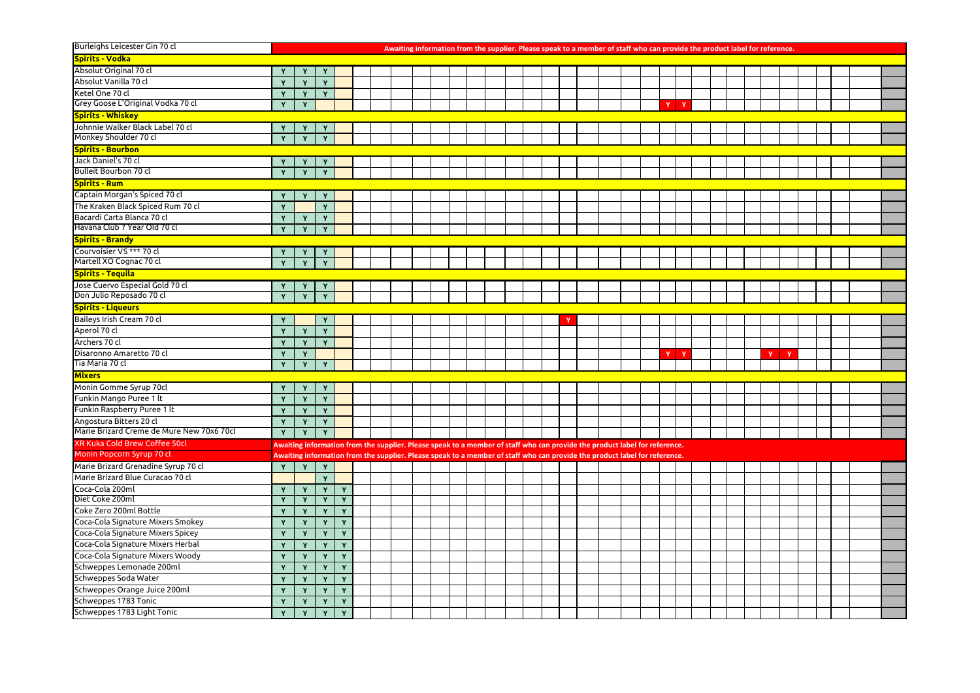| Burleighs Leicester Gin 70 cl             |              |              |              |   |  |  |  |  |  | Awaiting information from the supplier. Please speak to a member of staff who can provide the product label for reference. |  |  |              |  |  |    |              |  |  |  |
|-------------------------------------------|--------------|--------------|--------------|---|--|--|--|--|--|----------------------------------------------------------------------------------------------------------------------------|--|--|--------------|--|--|----|--------------|--|--|--|
| <b>Spirits - Vodka</b>                    |              |              |              |   |  |  |  |  |  |                                                                                                                            |  |  |              |  |  |    |              |  |  |  |
| Absolut Original 70 cl                    |              |              |              |   |  |  |  |  |  |                                                                                                                            |  |  |              |  |  |    |              |  |  |  |
| Absolut Vanilla 70 cl                     | Y            | Y            | $\mathbf v$  |   |  |  |  |  |  |                                                                                                                            |  |  |              |  |  |    |              |  |  |  |
| Ketel One 70 cl                           | Y            | Y            | $\mathbf{v}$ |   |  |  |  |  |  |                                                                                                                            |  |  |              |  |  |    |              |  |  |  |
| Grey Goose L'Original Vodka 70 cl         | Y            | Y            |              |   |  |  |  |  |  |                                                                                                                            |  |  | <b>V</b>     |  |  |    |              |  |  |  |
| <b>Spirits - Whiskey</b>                  |              |              |              |   |  |  |  |  |  |                                                                                                                            |  |  |              |  |  |    |              |  |  |  |
| Johnnie Walker Black Label 70 cl          | Y            | Y            |              |   |  |  |  |  |  |                                                                                                                            |  |  |              |  |  |    |              |  |  |  |
| Monkey Shoulder 70 cl                     | Y            | Y            | $\mathbf{v}$ |   |  |  |  |  |  |                                                                                                                            |  |  |              |  |  |    |              |  |  |  |
| <b>Spirits - Bourbon</b>                  |              |              |              |   |  |  |  |  |  |                                                                                                                            |  |  |              |  |  |    |              |  |  |  |
| Jack Daniel's 70 cl                       |              | Y            |              |   |  |  |  |  |  |                                                                                                                            |  |  |              |  |  |    |              |  |  |  |
| <b>Bulleit Bourbon 70 cl</b>              | <b>Y</b>     | Y            | $\mathbf{v}$ |   |  |  |  |  |  |                                                                                                                            |  |  |              |  |  |    |              |  |  |  |
| <b>Spirits - Rum</b>                      |              |              |              |   |  |  |  |  |  |                                                                                                                            |  |  |              |  |  |    |              |  |  |  |
| Captain Morgan's Spiced 70 cl             | Y            | Y            |              |   |  |  |  |  |  |                                                                                                                            |  |  |              |  |  |    |              |  |  |  |
| The Kraken Black Spiced Rum 70 cl         | $\mathbf{v}$ |              | Y            |   |  |  |  |  |  |                                                                                                                            |  |  |              |  |  |    |              |  |  |  |
| Bacardi Carta Blanca 70 cl                |              |              |              |   |  |  |  |  |  |                                                                                                                            |  |  |              |  |  |    |              |  |  |  |
| Havana Club 7 Year Old 70 cl              | $\mathbf{v}$ | $\mathbf{Y}$ | $\mathbf{v}$ |   |  |  |  |  |  |                                                                                                                            |  |  |              |  |  |    |              |  |  |  |
| <b>Spirits - Brandy</b>                   |              |              |              |   |  |  |  |  |  |                                                                                                                            |  |  |              |  |  |    |              |  |  |  |
| Courvoisier VS *** 70 cl                  |              | Y            |              |   |  |  |  |  |  |                                                                                                                            |  |  |              |  |  |    |              |  |  |  |
| Martell XO Cognac 70 cl                   | Y            | Y            | $\mathbf{v}$ |   |  |  |  |  |  |                                                                                                                            |  |  |              |  |  |    |              |  |  |  |
| <b>Spirits - Tequila</b>                  |              |              |              |   |  |  |  |  |  |                                                                                                                            |  |  |              |  |  |    |              |  |  |  |
| Jose Cuervo Especial Gold 70 cl           | Y            | Y            |              |   |  |  |  |  |  |                                                                                                                            |  |  |              |  |  |    |              |  |  |  |
| Don Julio Reposado 70 cl                  | Y            | Y            | Y            |   |  |  |  |  |  |                                                                                                                            |  |  |              |  |  |    |              |  |  |  |
| <b>Spirits - Liqueurs</b>                 |              |              |              |   |  |  |  |  |  |                                                                                                                            |  |  |              |  |  |    |              |  |  |  |
| Baileys Irish Cream 70 cl                 |              |              |              |   |  |  |  |  |  |                                                                                                                            |  |  |              |  |  |    |              |  |  |  |
| Aperol 70 cl                              | $\mathbf{v}$ | Y            | $\mathbf v$  |   |  |  |  |  |  |                                                                                                                            |  |  |              |  |  |    |              |  |  |  |
| Archers 70 cl                             | $\mathbf{Y}$ | $\mathbf{Y}$ | $\mathbf{Y}$ |   |  |  |  |  |  |                                                                                                                            |  |  |              |  |  |    |              |  |  |  |
| Disaronno Amaretto 70 cl                  | Y            | Y            |              |   |  |  |  |  |  |                                                                                                                            |  |  | $\mathbf{Y}$ |  |  | Y) | $\mathbf{Y}$ |  |  |  |
| Tia Maria 70 cl                           | $\mathbf{Y}$ |              | $Y$ $Y$      |   |  |  |  |  |  |                                                                                                                            |  |  |              |  |  |    |              |  |  |  |
| <b>Mixers</b>                             |              |              |              |   |  |  |  |  |  |                                                                                                                            |  |  |              |  |  |    |              |  |  |  |
| Monin Gomme Syrup 70cl                    | Y            | Y            | Y            |   |  |  |  |  |  |                                                                                                                            |  |  |              |  |  |    |              |  |  |  |
| Funkin Mango Puree 1 lt                   | Y            | $\mathbf{Y}$ | $\mathbf{Y}$ |   |  |  |  |  |  |                                                                                                                            |  |  |              |  |  |    |              |  |  |  |
| Funkin Raspberry Puree 1 lt               | $\mathbf v$  | Y            | Y            |   |  |  |  |  |  |                                                                                                                            |  |  |              |  |  |    |              |  |  |  |
| Angostura Bitters 20 cl                   |              | Y            | Y            |   |  |  |  |  |  |                                                                                                                            |  |  |              |  |  |    |              |  |  |  |
| Marie Brizard Creme de Mure New 70x6 70cl | Y            | Y            | Y            |   |  |  |  |  |  |                                                                                                                            |  |  |              |  |  |    |              |  |  |  |
| <b>XR Kuka Cold Brew Coffee 50cl</b>      |              |              |              |   |  |  |  |  |  | Awaiting information from the supplier. Please speak to a member of staff who can provide the product label for reference. |  |  |              |  |  |    |              |  |  |  |
| Monin Popcorn Syrup 70 cl                 |              |              |              |   |  |  |  |  |  | Awaiting information from the supplier. Please speak to a member of staff who can provide the product label for reference. |  |  |              |  |  |    |              |  |  |  |
| Marie Brizard Grenadine Syrup 70 cl       | Y            | Y            | Y            |   |  |  |  |  |  |                                                                                                                            |  |  |              |  |  |    |              |  |  |  |
| Marie Brizard Blue Curacao 70 cl          |              |              | $\mathbf v$  |   |  |  |  |  |  |                                                                                                                            |  |  |              |  |  |    |              |  |  |  |
| Coca-Cola 200ml                           | $\mathbf{v}$ | Y            | $\mathbf{v}$ | Y |  |  |  |  |  |                                                                                                                            |  |  |              |  |  |    |              |  |  |  |
| Diet Coke 200ml                           | Y            | Y            | $\mathbf{Y}$ | Y |  |  |  |  |  |                                                                                                                            |  |  |              |  |  |    |              |  |  |  |
| Coke Zero 200ml Bottle                    | Y            | Y            | $\mathbf{v}$ | Y |  |  |  |  |  |                                                                                                                            |  |  |              |  |  |    |              |  |  |  |
| Coca-Cola Signature Mixers Smokey         | Y            | Y            | Y            | Y |  |  |  |  |  |                                                                                                                            |  |  |              |  |  |    |              |  |  |  |
| Coca-Cola Signature Mixers Spicey         |              | $\mathbf{v}$ | $\mathbf{v}$ | Y |  |  |  |  |  |                                                                                                                            |  |  |              |  |  |    |              |  |  |  |
| Coca-Cola Signature Mixers Herbal         |              | Y            | Y            | Y |  |  |  |  |  |                                                                                                                            |  |  |              |  |  |    |              |  |  |  |
| Coca-Cola Signature Mixers Woody          | Y            | Y            | $\mathbf{v}$ | Y |  |  |  |  |  |                                                                                                                            |  |  |              |  |  |    |              |  |  |  |
| Schweppes Lemonade 200ml                  | $\mathbf{v}$ | Y            | $\mathbf{v}$ | Y |  |  |  |  |  |                                                                                                                            |  |  |              |  |  |    |              |  |  |  |
| Schweppes Soda Water                      | Y            | Y            | Y            | Y |  |  |  |  |  |                                                                                                                            |  |  |              |  |  |    |              |  |  |  |
| Schweppes Orange Juice 200ml              |              | $\mathbf{v}$ | $\mathbf v$  | Y |  |  |  |  |  |                                                                                                                            |  |  |              |  |  |    |              |  |  |  |
| Schweppes 1783 Tonic                      |              | Y            | Y            | Y |  |  |  |  |  |                                                                                                                            |  |  |              |  |  |    |              |  |  |  |
| Schweppes 1783 Light Tonic                | Y            | Y            | Y            | Y |  |  |  |  |  |                                                                                                                            |  |  |              |  |  |    |              |  |  |  |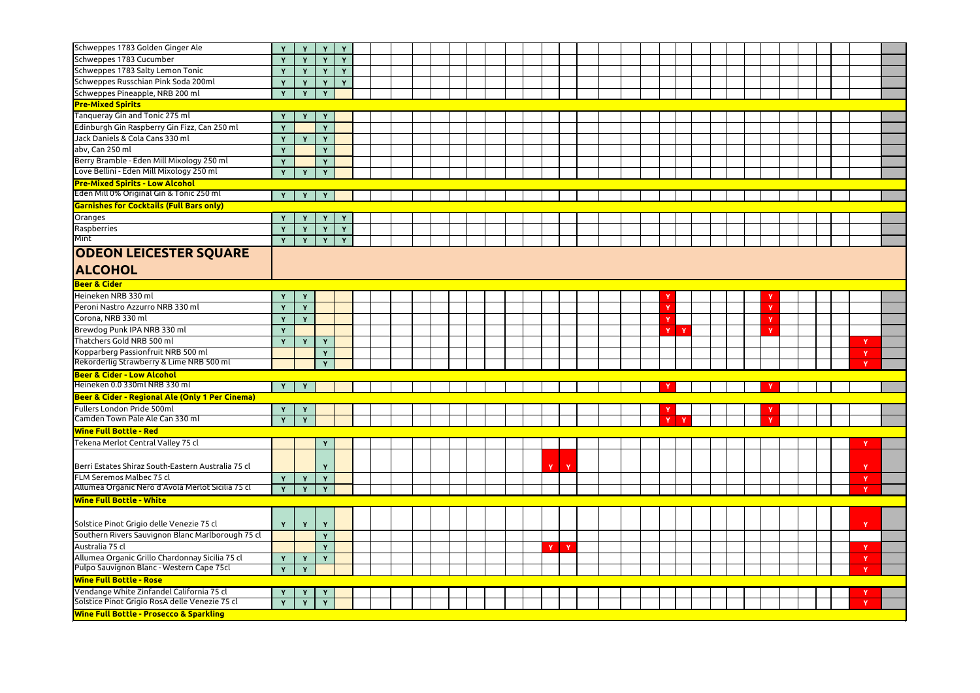| Schweppes 1783 Golden Ginger Ale                                                | Y                 | Y            |              | Y            |  |  |  |  |             |   |  |  |             |  |  |          |  |              |  |
|---------------------------------------------------------------------------------|-------------------|--------------|--------------|--------------|--|--|--|--|-------------|---|--|--|-------------|--|--|----------|--|--------------|--|
| Schweppes 1783 Cucumber                                                         | $\mathbf{Y}$      | Y            | Y            | Y            |  |  |  |  |             |   |  |  |             |  |  |          |  |              |  |
| Schweppes 1783 Salty Lemon Tonic                                                |                   | $\mathbf v$  | $\mathbf{Y}$ | Y            |  |  |  |  |             |   |  |  |             |  |  |          |  |              |  |
| Schweppes Russchian Pink Soda 200ml                                             |                   | Y            | Y            | Y            |  |  |  |  |             |   |  |  |             |  |  |          |  |              |  |
| Schweppes Pineapple, NRB 200 ml                                                 | Y                 | Y            | Y            |              |  |  |  |  |             |   |  |  |             |  |  |          |  |              |  |
| <b>Pre-Mixed Spirits</b>                                                        |                   |              |              |              |  |  |  |  |             |   |  |  |             |  |  |          |  |              |  |
| Tanqueray Gin and Tonic 275 ml                                                  |                   |              |              |              |  |  |  |  |             |   |  |  |             |  |  |          |  |              |  |
|                                                                                 | Y                 | Y            | Y            |              |  |  |  |  |             |   |  |  |             |  |  |          |  |              |  |
| Edinburgh Gin Raspberry Gin Fizz, Can 250 ml<br>Jack Daniels & Cola Cans 330 ml | Y                 |              | $\mathbf{v}$ |              |  |  |  |  |             |   |  |  |             |  |  |          |  |              |  |
|                                                                                 | $\mathbf{v}$      | Y            | Y            |              |  |  |  |  |             |   |  |  |             |  |  |          |  |              |  |
| abv, Can 250 ml                                                                 | Y                 |              | Y            |              |  |  |  |  |             |   |  |  |             |  |  |          |  |              |  |
| Berry Bramble - Eden Mill Mixology 250 ml                                       | $\mathbf{Y}$      |              | $\mathbf{v}$ |              |  |  |  |  |             |   |  |  |             |  |  |          |  |              |  |
| Love Bellini - Eden Mill Mixology 250 ml                                        | Y                 | Y            | $\mathbf{Y}$ |              |  |  |  |  |             |   |  |  |             |  |  |          |  |              |  |
| <b>Pre-Mixed Spirits - Low Alcohol</b>                                          |                   |              |              |              |  |  |  |  |             |   |  |  |             |  |  |          |  |              |  |
| Eden Mill 0% Original Gin & Tonic 250 ml                                        | $\mathbf Y$       | Y            |              |              |  |  |  |  |             |   |  |  |             |  |  |          |  |              |  |
| Garnishes for Cocktails (Full Bars only)                                        |                   |              |              |              |  |  |  |  |             |   |  |  |             |  |  |          |  |              |  |
| Oranges                                                                         | Y                 | Y            | Y            | $\mathbf{Y}$ |  |  |  |  |             |   |  |  |             |  |  |          |  |              |  |
| Raspberries                                                                     | $\mathbf{Y}$      | Y            | Y            | Y            |  |  |  |  |             |   |  |  |             |  |  |          |  |              |  |
| Mint                                                                            | Y                 | Y            | Y            | $\mathbf{Y}$ |  |  |  |  |             |   |  |  |             |  |  |          |  |              |  |
| <b>ODEON LEICESTER SQUARE</b>                                                   |                   |              |              |              |  |  |  |  |             |   |  |  |             |  |  |          |  |              |  |
| <b>ALCOHOL</b>                                                                  |                   |              |              |              |  |  |  |  |             |   |  |  |             |  |  |          |  |              |  |
| <b>Beer &amp; Cider</b>                                                         |                   |              |              |              |  |  |  |  |             |   |  |  |             |  |  |          |  |              |  |
| Heineken NRB 330 ml                                                             |                   | Y            |              |              |  |  |  |  |             |   |  |  |             |  |  |          |  |              |  |
| Peroni Nastro Azzurro NRB 330 ml                                                |                   | Y            |              |              |  |  |  |  |             |   |  |  |             |  |  | Ñ        |  |              |  |
| Corona, NRB 330 ml                                                              | Y                 | Y            |              |              |  |  |  |  |             |   |  |  |             |  |  |          |  |              |  |
| Brewdog Punk IPA NRB 330 ml                                                     | $\mathbf{Y}$      |              |              |              |  |  |  |  |             |   |  |  | $\mathbf v$ |  |  | <b>N</b> |  |              |  |
| Thatchers Gold NRB 500 ml                                                       | Y                 | Y            | Y            |              |  |  |  |  |             |   |  |  |             |  |  |          |  |              |  |
| Kopparberg Passionfruit NRB 500 ml                                              |                   |              | $\mathbf{Y}$ |              |  |  |  |  |             |   |  |  |             |  |  |          |  |              |  |
| Rekorderlig Strawberry & Lime NRB 500 ml                                        |                   |              | Y            |              |  |  |  |  |             |   |  |  |             |  |  |          |  | $\mathbf{v}$ |  |
| <b>Beer &amp; Cider - Low Alcohol</b>                                           |                   |              |              |              |  |  |  |  |             |   |  |  |             |  |  |          |  |              |  |
| Heineken 0.0 330ml NRB 330 ml                                                   | $\mathbf{Y}$      | Y            |              |              |  |  |  |  |             |   |  |  |             |  |  |          |  |              |  |
| Beer & Cider - Regional Ale (Only 1 Per Cinema)                                 |                   |              |              |              |  |  |  |  |             |   |  |  |             |  |  |          |  |              |  |
| Fullers London Pride 500ml                                                      |                   |              |              |              |  |  |  |  |             |   |  |  |             |  |  |          |  |              |  |
| Camden Town Pale Ale Can 330 ml                                                 | Y<br>$\mathbf{Y}$ | Y<br>Y       |              |              |  |  |  |  |             |   |  |  |             |  |  |          |  |              |  |
| <b>Wine Full Bottle - Red</b>                                                   |                   |              |              |              |  |  |  |  |             |   |  |  |             |  |  |          |  |              |  |
|                                                                                 |                   |              |              |              |  |  |  |  |             |   |  |  |             |  |  |          |  |              |  |
| Tekena Merlot Central Valley 75 cl                                              |                   |              | Y            |              |  |  |  |  |             |   |  |  |             |  |  |          |  |              |  |
| Berri Estates Shiraz South-Eastern Australia 75 cl                              |                   |              |              |              |  |  |  |  | Y           | Y |  |  |             |  |  |          |  |              |  |
| <b>FLM Seremos Malbec 75 cl</b>                                                 | Y                 | Y            | Y            |              |  |  |  |  |             |   |  |  |             |  |  |          |  |              |  |
| Allumea Organic Nero d'Avola Merlot Sicilia 75 cl                               | Y                 | $\mathbf{Y}$ | $\mathbf{v}$ |              |  |  |  |  |             |   |  |  |             |  |  |          |  |              |  |
| <b>Wine Full Bottle - White</b>                                                 |                   |              |              |              |  |  |  |  |             |   |  |  |             |  |  |          |  |              |  |
|                                                                                 |                   |              |              |              |  |  |  |  |             |   |  |  |             |  |  |          |  |              |  |
| Solstice Pinot Grigio delle Venezie 75 cl                                       | Y                 | Y            | Y            |              |  |  |  |  |             |   |  |  |             |  |  |          |  | $\mathbf{v}$ |  |
| Southern Rivers Sauvignon Blanc Marlborough 75 cl                               |                   |              | $\mathbf{Y}$ |              |  |  |  |  |             |   |  |  |             |  |  |          |  |              |  |
| Australia 75 cl                                                                 |                   |              | Y            |              |  |  |  |  | $\mathbf v$ | Y |  |  |             |  |  |          |  |              |  |
| Allumea Organic Grillo Chardonnay Sicilia 75 cl                                 | $\mathbf{Y}$      | Y            | Y            |              |  |  |  |  |             |   |  |  |             |  |  |          |  |              |  |
| Pulpo Sauvignon Blanc - Western Cape 75cl                                       | Y                 | Y            |              |              |  |  |  |  |             |   |  |  |             |  |  |          |  |              |  |
| <b>Wine Full Bottle - Rose</b>                                                  |                   |              |              |              |  |  |  |  |             |   |  |  |             |  |  |          |  |              |  |
| Vendange White Zinfandel California 75 cl                                       | Y                 | Y            | $\mathbf{Y}$ |              |  |  |  |  |             |   |  |  |             |  |  |          |  |              |  |
| Solstice Pinot Grigio RosA delle Venezie 75 cl                                  | Y                 | Y            | $\mathbf{Y}$ |              |  |  |  |  |             |   |  |  |             |  |  |          |  |              |  |
| <b>Wine Full Bottle - Prosecco &amp; Sparkling</b>                              |                   |              |              |              |  |  |  |  |             |   |  |  |             |  |  |          |  |              |  |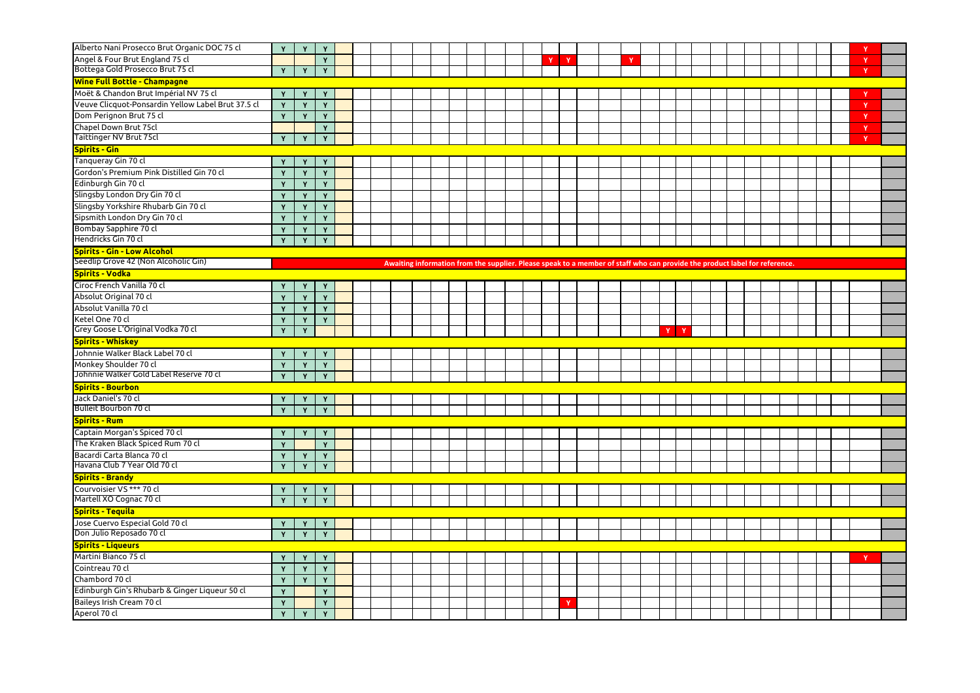| Alberto Nani Prosecco Brut Organic DOC 75 cl                                            | Y            | Y            | Y                 |  |  |  |  |                                                                                                                            |          |              |  |             |  |  |  |  |  |  |              |  |
|-----------------------------------------------------------------------------------------|--------------|--------------|-------------------|--|--|--|--|----------------------------------------------------------------------------------------------------------------------------|----------|--------------|--|-------------|--|--|--|--|--|--|--------------|--|
| Angel & Four Brut England 75 cl                                                         |              |              | Y                 |  |  |  |  |                                                                                                                            | <b>V</b> | $\mathbf{Y}$ |  | $\mathbf v$ |  |  |  |  |  |  | $\mathbf{v}$ |  |
| Bottega Gold Prosecco Brut 75 cl                                                        | Y            | Y            | Y                 |  |  |  |  |                                                                                                                            |          |              |  |             |  |  |  |  |  |  | $\mathbf v$  |  |
| <b>Wine Full Bottle - Champagne</b>                                                     |              |              |                   |  |  |  |  |                                                                                                                            |          |              |  |             |  |  |  |  |  |  |              |  |
| Moët & Chandon Brut Impérial NV 75 cl                                                   | Y            | $\mathbf{Y}$ | Y                 |  |  |  |  |                                                                                                                            |          |              |  |             |  |  |  |  |  |  |              |  |
| Veuve Clicquot-Ponsardin Yellow Label Brut 37.5 cl                                      | Y            | $\mathbf v$  | $\mathbf{Y}$      |  |  |  |  |                                                                                                                            |          |              |  |             |  |  |  |  |  |  |              |  |
| Dom Perignon Brut 75 cl                                                                 | Y            | <b>Y</b>     | Y                 |  |  |  |  |                                                                                                                            |          |              |  |             |  |  |  |  |  |  |              |  |
| Chapel Down Brut 75cl                                                                   |              |              | Y                 |  |  |  |  |                                                                                                                            |          |              |  |             |  |  |  |  |  |  |              |  |
| Taittinger NV Brut 75cl                                                                 | Y            | Y            | Y                 |  |  |  |  |                                                                                                                            |          |              |  |             |  |  |  |  |  |  | $\mathbf{v}$ |  |
| <b>Spirits - Gin</b>                                                                    |              |              |                   |  |  |  |  |                                                                                                                            |          |              |  |             |  |  |  |  |  |  |              |  |
| Tanqueray Gin 70 cl                                                                     | Y            |              | Υ                 |  |  |  |  |                                                                                                                            |          |              |  |             |  |  |  |  |  |  |              |  |
| Gordon's Premium Pink Distilled Gin 70 cl                                               | Y            |              | Y                 |  |  |  |  |                                                                                                                            |          |              |  |             |  |  |  |  |  |  |              |  |
| Edinburgh Gin 70 cl                                                                     | Y            | $\mathbf{v}$ | Y                 |  |  |  |  |                                                                                                                            |          |              |  |             |  |  |  |  |  |  |              |  |
| Slingsby London Dry Gin 70 cl                                                           | $\mathbf{Y}$ | $\mathbf{v}$ | Y                 |  |  |  |  |                                                                                                                            |          |              |  |             |  |  |  |  |  |  |              |  |
| Slingsby Yorkshire Rhubarb Gin 70 cl                                                    | $\mathbf v$  | v            | Y                 |  |  |  |  |                                                                                                                            |          |              |  |             |  |  |  |  |  |  |              |  |
| Sipsmith London Dry Gin 70 cl                                                           |              | $\mathbf v$  | Y                 |  |  |  |  |                                                                                                                            |          |              |  |             |  |  |  |  |  |  |              |  |
| Bombay Sapphire 70 cl                                                                   | Y            | Y            | Y                 |  |  |  |  |                                                                                                                            |          |              |  |             |  |  |  |  |  |  |              |  |
| Hendricks Gin 70 cl                                                                     | Y            | Y            | $\mathbf{Y}$      |  |  |  |  |                                                                                                                            |          |              |  |             |  |  |  |  |  |  |              |  |
| Spirits - Gin - Low Alcohol                                                             |              |              |                   |  |  |  |  |                                                                                                                            |          |              |  |             |  |  |  |  |  |  |              |  |
| Seedlip Grove 42 (Non Alcoholic Gin)                                                    |              |              |                   |  |  |  |  | Awaiting information from the supplier. Please speak to a member of staff who can provide the product label for reference. |          |              |  |             |  |  |  |  |  |  |              |  |
| Spirits - Vodka                                                                         |              |              |                   |  |  |  |  |                                                                                                                            |          |              |  |             |  |  |  |  |  |  |              |  |
| Ciroc French Vanilla 70 cl                                                              | Y            |              |                   |  |  |  |  |                                                                                                                            |          |              |  |             |  |  |  |  |  |  |              |  |
| Absolut Original 70 cl                                                                  | $\mathbf{Y}$ | Y            | Y                 |  |  |  |  |                                                                                                                            |          |              |  |             |  |  |  |  |  |  |              |  |
| Absolut Vanilla 70 cl                                                                   |              |              | $\mathbf{Y}$      |  |  |  |  |                                                                                                                            |          |              |  |             |  |  |  |  |  |  |              |  |
| Ketel One 70 cl                                                                         | Y            | $\mathbf v$  | Y                 |  |  |  |  |                                                                                                                            |          |              |  |             |  |  |  |  |  |  |              |  |
|                                                                                         |              |              |                   |  |  |  |  |                                                                                                                            |          |              |  |             |  |  |  |  |  |  |              |  |
| Grey Goose L'Original Vodka 70 cl                                                       | Y            | Y            |                   |  |  |  |  |                                                                                                                            |          |              |  |             |  |  |  |  |  |  |              |  |
|                                                                                         |              |              |                   |  |  |  |  |                                                                                                                            |          |              |  |             |  |  |  |  |  |  |              |  |
| <b>Spirits - Whiskey</b>                                                                |              |              |                   |  |  |  |  |                                                                                                                            |          |              |  |             |  |  |  |  |  |  |              |  |
| Johnnie Walker Black Label 70 cl                                                        |              |              |                   |  |  |  |  |                                                                                                                            |          |              |  |             |  |  |  |  |  |  |              |  |
| Monkey Shoulder 70 cl<br>Johnnie Walker Gold Label Reserve 70 cl                        | Y            | Y            | Y                 |  |  |  |  |                                                                                                                            |          |              |  |             |  |  |  |  |  |  |              |  |
|                                                                                         |              |              |                   |  |  |  |  |                                                                                                                            |          |              |  |             |  |  |  |  |  |  |              |  |
| <b>Spirits - Bourbon</b>                                                                |              |              |                   |  |  |  |  |                                                                                                                            |          |              |  |             |  |  |  |  |  |  |              |  |
| Jack Daniel's 70 cl<br><b>Bulleit Bourbon 70 cl</b>                                     | Y<br>Y       | Y<br>Y       | Y<br>Y            |  |  |  |  |                                                                                                                            |          |              |  |             |  |  |  |  |  |  |              |  |
|                                                                                         |              |              |                   |  |  |  |  |                                                                                                                            |          |              |  |             |  |  |  |  |  |  |              |  |
| <b>Spirits - Rum</b>                                                                    |              |              |                   |  |  |  |  |                                                                                                                            |          |              |  |             |  |  |  |  |  |  |              |  |
| Captain Morgan's Spiced 70 cl                                                           | Y.           | Y            | Y                 |  |  |  |  |                                                                                                                            |          |              |  |             |  |  |  |  |  |  |              |  |
| The Kraken Black Spiced Rum 70 cl                                                       | Y            | $\mathbf{v}$ | Y                 |  |  |  |  |                                                                                                                            |          |              |  |             |  |  |  |  |  |  |              |  |
| Bacardi Carta Blanca 70 cl<br>Havana Club 7 Year Old 70 cl                              | Y            | Y            | Y                 |  |  |  |  |                                                                                                                            |          |              |  |             |  |  |  |  |  |  |              |  |
|                                                                                         |              |              | Y                 |  |  |  |  |                                                                                                                            |          |              |  |             |  |  |  |  |  |  |              |  |
| <b>Spirits - Brandy</b>                                                                 |              |              |                   |  |  |  |  |                                                                                                                            |          |              |  |             |  |  |  |  |  |  |              |  |
| Courvoisier VS *** 70 cl<br>Martell XO Cognac 70 cl                                     | Y.<br>Y      | Y<br>Y       | Y<br>Y            |  |  |  |  |                                                                                                                            |          |              |  |             |  |  |  |  |  |  |              |  |
|                                                                                         |              |              |                   |  |  |  |  |                                                                                                                            |          |              |  |             |  |  |  |  |  |  |              |  |
|                                                                                         |              |              |                   |  |  |  |  |                                                                                                                            |          |              |  |             |  |  |  |  |  |  |              |  |
| <b>Spirits - Tequila</b><br>Jose Cuervo Especial Gold 70 cl<br>Don Julio Reposado 70 cl | Y            | Y            | Y                 |  |  |  |  |                                                                                                                            |          |              |  |             |  |  |  |  |  |  |              |  |
|                                                                                         | Y            | Y            |                   |  |  |  |  |                                                                                                                            |          |              |  |             |  |  |  |  |  |  |              |  |
| <b>Spirits - Liqueurs</b>                                                               |              | Y            |                   |  |  |  |  |                                                                                                                            |          |              |  |             |  |  |  |  |  |  |              |  |
| Martini Bianco 75 cl                                                                    | Y            | Y            | Y                 |  |  |  |  |                                                                                                                            |          |              |  |             |  |  |  |  |  |  |              |  |
| Cointreau 70 cl                                                                         | Y            |              | Y                 |  |  |  |  |                                                                                                                            |          |              |  |             |  |  |  |  |  |  |              |  |
| Chambord 70 cl                                                                          | Y            | Y            | Y                 |  |  |  |  |                                                                                                                            |          |              |  |             |  |  |  |  |  |  |              |  |
| Edinburgh Gin's Rhubarb & Ginger Liqueur 50 cl                                          | Y            |              | Y                 |  |  |  |  |                                                                                                                            |          | V            |  |             |  |  |  |  |  |  |              |  |
| Baileys Irish Cream 70 cl<br>Aperol 70 cl                                               | Y<br>Y       | $\mathbf{Y}$ | Y<br>$\mathbf{Y}$ |  |  |  |  |                                                                                                                            |          |              |  |             |  |  |  |  |  |  |              |  |